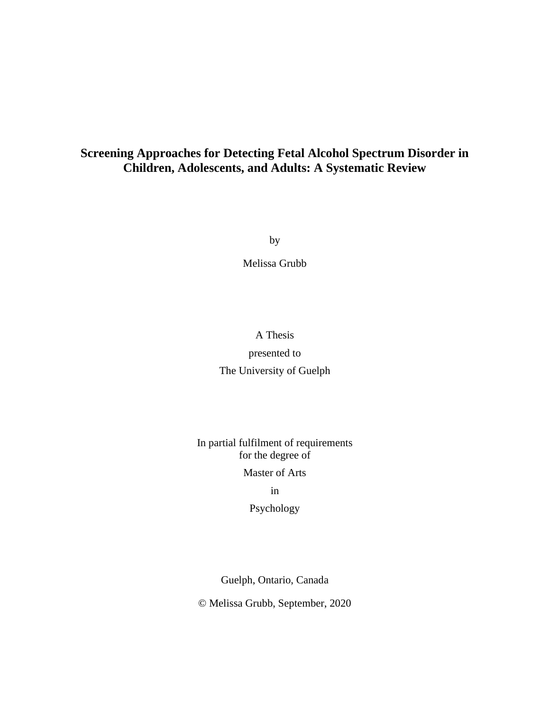### **Screening Approaches for Detecting Fetal Alcohol Spectrum Disorder in Children, Adolescents, and Adults: A Systematic Review**

by

Melissa Grubb

# A Thesis presented to The University of Guelph

### In partial fulfilment of requirements for the degree of

#### Master of Arts

#### in

#### Psychology

Guelph, Ontario, Canada

© Melissa Grubb, September, 2020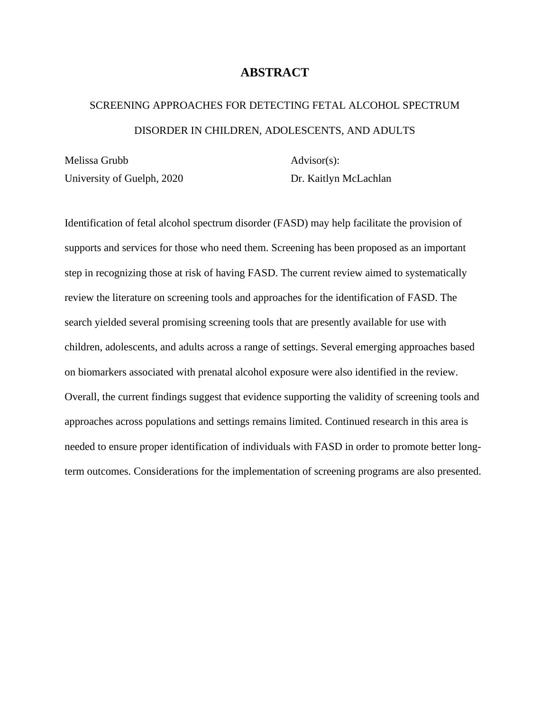### **ABSTRACT**

# <span id="page-1-0"></span>SCREENING APPROACHES FOR DETECTING FETAL ALCOHOL SPECTRUM DISORDER IN CHILDREN, ADOLESCENTS, AND ADULTS

Melissa Grubb University of Guelph, 2020 Advisor(s): Dr. Kaitlyn McLachlan

Identification of fetal alcohol spectrum disorder (FASD) may help facilitate the provision of supports and services for those who need them. Screening has been proposed as an important step in recognizing those at risk of having FASD. The current review aimed to systematically review the literature on screening tools and approaches for the identification of FASD. The search yielded several promising screening tools that are presently available for use with children, adolescents, and adults across a range of settings. Several emerging approaches based on biomarkers associated with prenatal alcohol exposure were also identified in the review. Overall, the current findings suggest that evidence supporting the validity of screening tools and approaches across populations and settings remains limited. Continued research in this area is needed to ensure proper identification of individuals with FASD in order to promote better longterm outcomes. Considerations for the implementation of screening programs are also presented.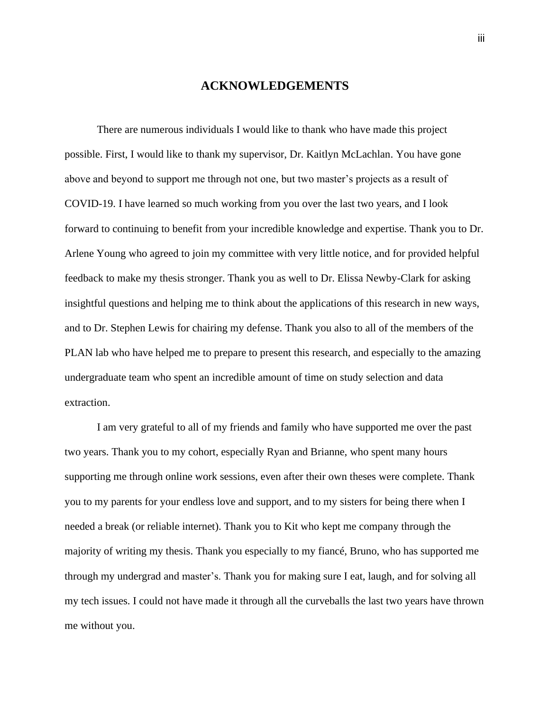### **ACKNOWLEDGEMENTS**

<span id="page-2-0"></span>There are numerous individuals I would like to thank who have made this project possible. First, I would like to thank my supervisor, Dr. Kaitlyn McLachlan. You have gone above and beyond to support me through not one, but two master's projects as a result of COVID-19. I have learned so much working from you over the last two years, and I look forward to continuing to benefit from your incredible knowledge and expertise. Thank you to Dr. Arlene Young who agreed to join my committee with very little notice, and for provided helpful feedback to make my thesis stronger. Thank you as well to Dr. Elissa Newby-Clark for asking insightful questions and helping me to think about the applications of this research in new ways, and to Dr. Stephen Lewis for chairing my defense. Thank you also to all of the members of the PLAN lab who have helped me to prepare to present this research, and especially to the amazing undergraduate team who spent an incredible amount of time on study selection and data extraction.

I am very grateful to all of my friends and family who have supported me over the past two years. Thank you to my cohort, especially Ryan and Brianne, who spent many hours supporting me through online work sessions, even after their own theses were complete. Thank you to my parents for your endless love and support, and to my sisters for being there when I needed a break (or reliable internet). Thank you to Kit who kept me company through the majority of writing my thesis. Thank you especially to my fiancé, Bruno, who has supported me through my undergrad and master's. Thank you for making sure I eat, laugh, and for solving all my tech issues. I could not have made it through all the curveballs the last two years have thrown me without you.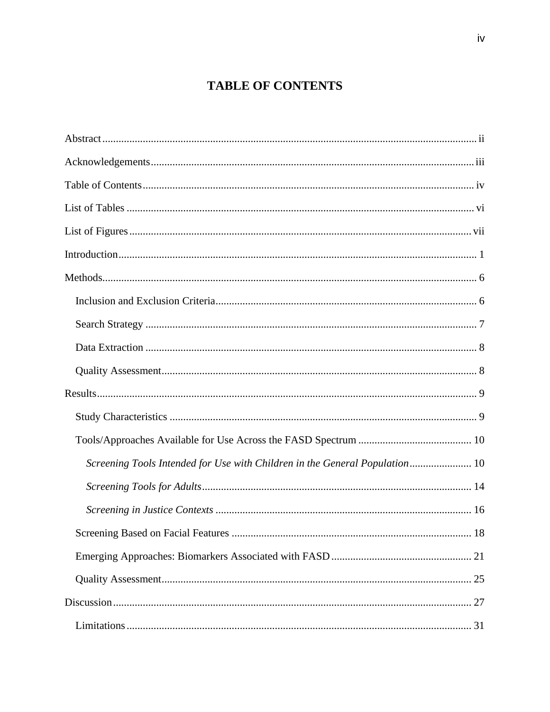# **TABLE OF CONTENTS**

<span id="page-3-0"></span>

| Screening Tools Intended for Use with Children in the General Population 10 |
|-----------------------------------------------------------------------------|
|                                                                             |
|                                                                             |
|                                                                             |
|                                                                             |
|                                                                             |
|                                                                             |
|                                                                             |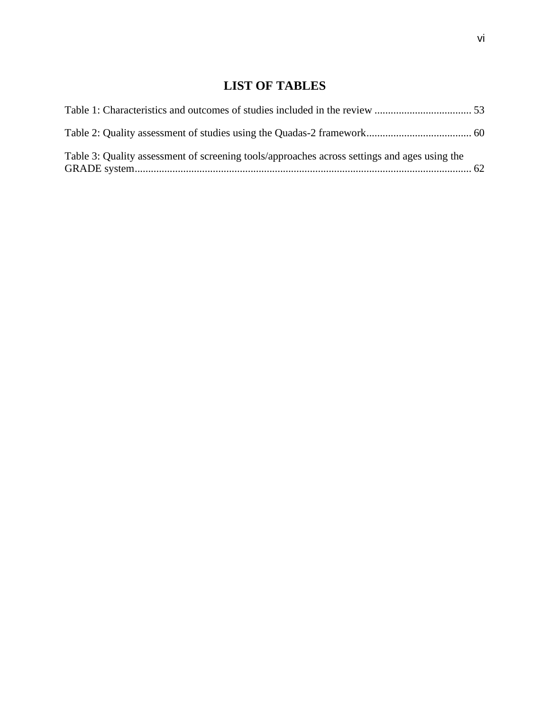# **LIST OF TABLES**

<span id="page-5-0"></span>

| Table 3: Quality assessment of screening tools/approaches across settings and ages using the |  |
|----------------------------------------------------------------------------------------------|--|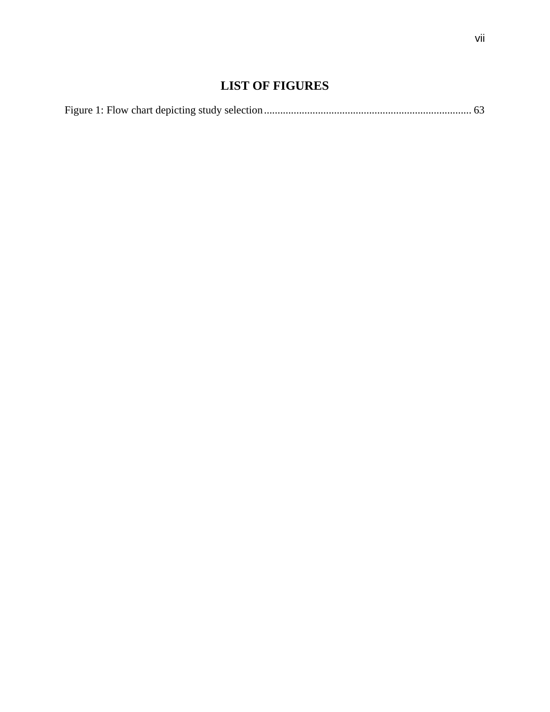## **LIST OF FIGURES**

<span id="page-6-0"></span>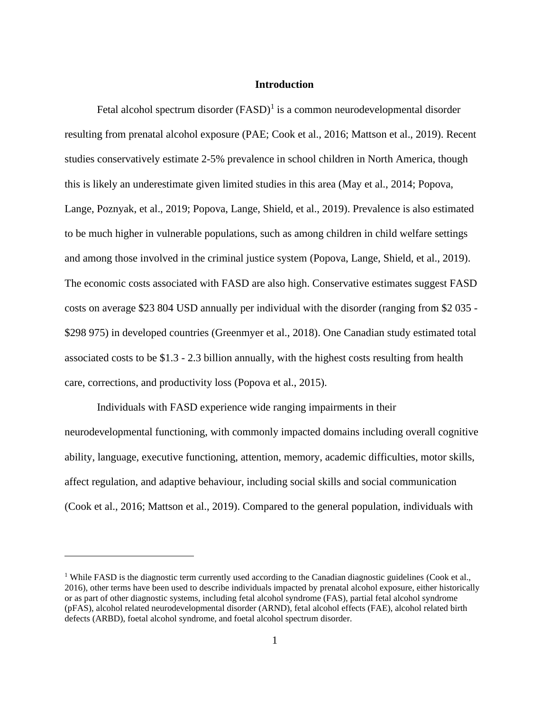#### **Introduction**

<span id="page-7-0"></span>Fetal alcohol spectrum disorder  $(FASD)^{1}$  is a common neurodevelopmental disorder resulting from prenatal alcohol exposure (PAE; Cook et al., 2016; Mattson et al., 2019). Recent studies conservatively estimate 2-5% prevalence in school children in North America, though this is likely an underestimate given limited studies in this area (May et al., 2014; Popova, Lange, Poznyak, et al., 2019; Popova, Lange, Shield, et al., 2019). Prevalence is also estimated to be much higher in vulnerable populations, such as among children in child welfare settings and among those involved in the criminal justice system (Popova, Lange, Shield, et al., 2019). The economic costs associated with FASD are also high. Conservative estimates suggest FASD costs on average \$23 804 USD annually per individual with the disorder (ranging from \$2 035 - \$298 975) in developed countries (Greenmyer et al., 2018). One Canadian study estimated total associated costs to be \$1.3 - 2.3 billion annually, with the highest costs resulting from health care, corrections, and productivity loss (Popova et al., 2015).

Individuals with FASD experience wide ranging impairments in their neurodevelopmental functioning, with commonly impacted domains including overall cognitive ability, language, executive functioning, attention, memory, academic difficulties, motor skills, affect regulation, and adaptive behaviour, including social skills and social communication (Cook et al., 2016; Mattson et al., 2019). Compared to the general population, individuals with

<sup>&</sup>lt;sup>1</sup> While FASD is the diagnostic term currently used according to the Canadian diagnostic guidelines (Cook et al., 2016), other terms have been used to describe individuals impacted by prenatal alcohol exposure, either historically or as part of other diagnostic systems, including fetal alcohol syndrome (FAS), partial fetal alcohol syndrome (pFAS), alcohol related neurodevelopmental disorder (ARND), fetal alcohol effects (FAE), alcohol related birth defects (ARBD), foetal alcohol syndrome, and foetal alcohol spectrum disorder.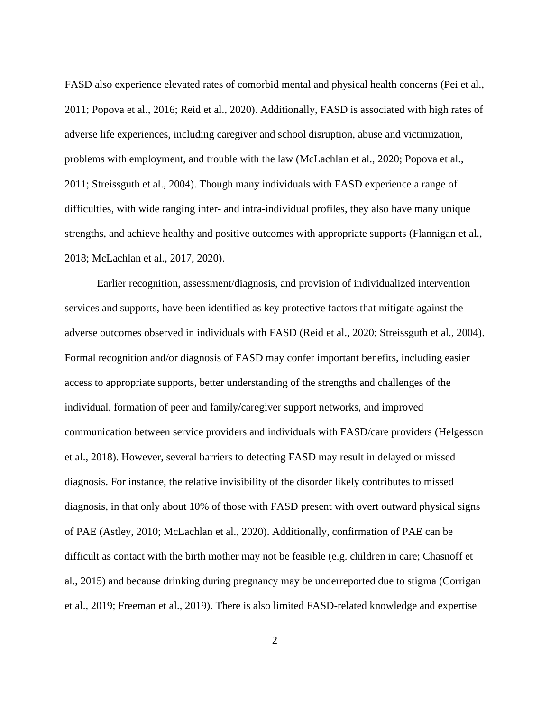FASD also experience elevated rates of comorbid mental and physical health concerns (Pei et al., 2011; Popova et al., 2016; Reid et al., 2020). Additionally, FASD is associated with high rates of adverse life experiences, including caregiver and school disruption, abuse and victimization, problems with employment, and trouble with the law (McLachlan et al., 2020; Popova et al., 2011; Streissguth et al., 2004). Though many individuals with FASD experience a range of difficulties, with wide ranging inter- and intra-individual profiles, they also have many unique strengths, and achieve healthy and positive outcomes with appropriate supports (Flannigan et al., 2018; McLachlan et al., 2017, 2020).

Earlier recognition, assessment/diagnosis, and provision of individualized intervention services and supports, have been identified as key protective factors that mitigate against the adverse outcomes observed in individuals with FASD (Reid et al., 2020; Streissguth et al., 2004). Formal recognition and/or diagnosis of FASD may confer important benefits, including easier access to appropriate supports, better understanding of the strengths and challenges of the individual, formation of peer and family/caregiver support networks, and improved communication between service providers and individuals with FASD/care providers (Helgesson et al., 2018). However, several barriers to detecting FASD may result in delayed or missed diagnosis. For instance, the relative invisibility of the disorder likely contributes to missed diagnosis, in that only about 10% of those with FASD present with overt outward physical signs of PAE (Astley, 2010; McLachlan et al., 2020). Additionally, confirmation of PAE can be difficult as contact with the birth mother may not be feasible (e.g. children in care; Chasnoff et al., 2015) and because drinking during pregnancy may be underreported due to stigma (Corrigan et al., 2019; Freeman et al., 2019). There is also limited FASD-related knowledge and expertise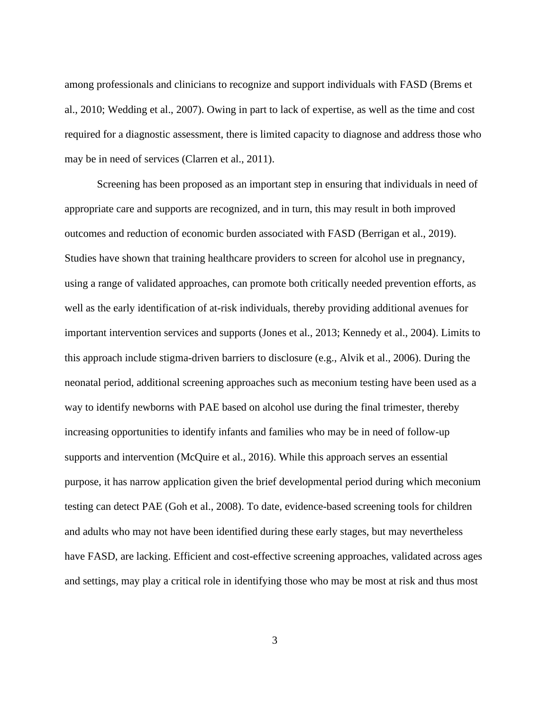among professionals and clinicians to recognize and support individuals with FASD (Brems et al., 2010; Wedding et al., 2007). Owing in part to lack of expertise, as well as the time and cost required for a diagnostic assessment, there is limited capacity to diagnose and address those who may be in need of services (Clarren et al., 2011).

Screening has been proposed as an important step in ensuring that individuals in need of appropriate care and supports are recognized, and in turn, this may result in both improved outcomes and reduction of economic burden associated with FASD (Berrigan et al., 2019). Studies have shown that training healthcare providers to screen for alcohol use in pregnancy, using a range of validated approaches, can promote both critically needed prevention efforts, as well as the early identification of at-risk individuals, thereby providing additional avenues for important intervention services and supports (Jones et al., 2013; Kennedy et al., 2004). Limits to this approach include stigma-driven barriers to disclosure (e.g., Alvik et al., 2006). During the neonatal period, additional screening approaches such as meconium testing have been used as a way to identify newborns with PAE based on alcohol use during the final trimester, thereby increasing opportunities to identify infants and families who may be in need of follow-up supports and intervention (McQuire et al., 2016). While this approach serves an essential purpose, it has narrow application given the brief developmental period during which meconium testing can detect PAE (Goh et al., 2008). To date, evidence-based screening tools for children and adults who may not have been identified during these early stages, but may nevertheless have FASD, are lacking. Efficient and cost-effective screening approaches, validated across ages and settings, may play a critical role in identifying those who may be most at risk and thus most

3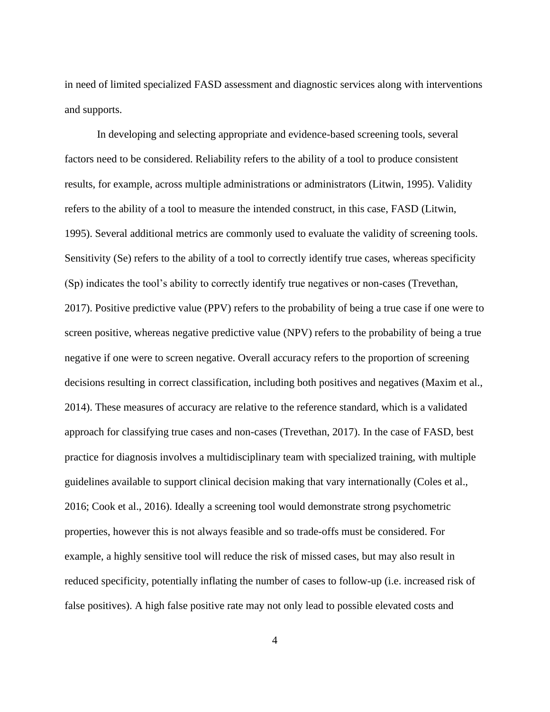in need of limited specialized FASD assessment and diagnostic services along with interventions and supports.

In developing and selecting appropriate and evidence-based screening tools, several factors need to be considered. Reliability refers to the ability of a tool to produce consistent results, for example, across multiple administrations or administrators (Litwin, 1995). Validity refers to the ability of a tool to measure the intended construct, in this case, FASD (Litwin, 1995). Several additional metrics are commonly used to evaluate the validity of screening tools. Sensitivity (Se) refers to the ability of a tool to correctly identify true cases, whereas specificity (Sp) indicates the tool's ability to correctly identify true negatives or non-cases (Trevethan, 2017). Positive predictive value (PPV) refers to the probability of being a true case if one were to screen positive, whereas negative predictive value (NPV) refers to the probability of being a true negative if one were to screen negative. Overall accuracy refers to the proportion of screening decisions resulting in correct classification, including both positives and negatives (Maxim et al., 2014). These measures of accuracy are relative to the reference standard, which is a validated approach for classifying true cases and non-cases (Trevethan, 2017). In the case of FASD, best practice for diagnosis involves a multidisciplinary team with specialized training, with multiple guidelines available to support clinical decision making that vary internationally (Coles et al., 2016; Cook et al., 2016). Ideally a screening tool would demonstrate strong psychometric properties, however this is not always feasible and so trade-offs must be considered. For example, a highly sensitive tool will reduce the risk of missed cases, but may also result in reduced specificity, potentially inflating the number of cases to follow-up (i.e. increased risk of false positives). A high false positive rate may not only lead to possible elevated costs and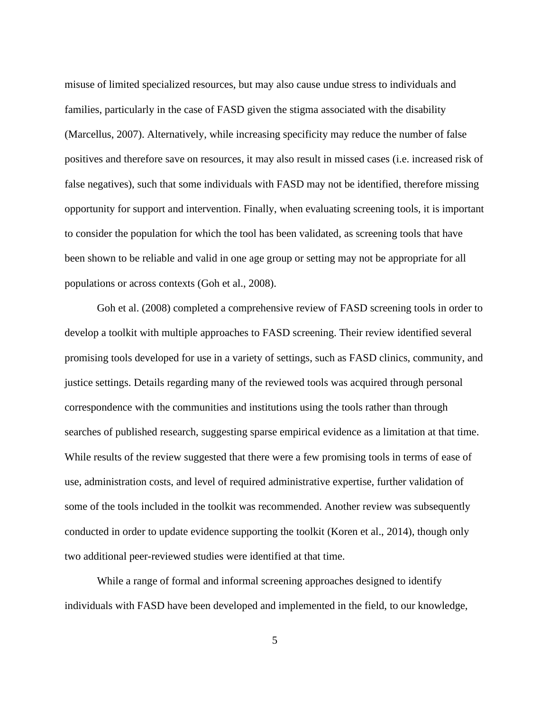misuse of limited specialized resources, but may also cause undue stress to individuals and families, particularly in the case of FASD given the stigma associated with the disability (Marcellus, 2007). Alternatively, while increasing specificity may reduce the number of false positives and therefore save on resources, it may also result in missed cases (i.e. increased risk of false negatives), such that some individuals with FASD may not be identified, therefore missing opportunity for support and intervention. Finally, when evaluating screening tools, it is important to consider the population for which the tool has been validated, as screening tools that have been shown to be reliable and valid in one age group or setting may not be appropriate for all populations or across contexts (Goh et al., 2008).

Goh et al. (2008) completed a comprehensive review of FASD screening tools in order to develop a toolkit with multiple approaches to FASD screening. Their review identified several promising tools developed for use in a variety of settings, such as FASD clinics, community, and justice settings. Details regarding many of the reviewed tools was acquired through personal correspondence with the communities and institutions using the tools rather than through searches of published research, suggesting sparse empirical evidence as a limitation at that time. While results of the review suggested that there were a few promising tools in terms of ease of use, administration costs, and level of required administrative expertise, further validation of some of the tools included in the toolkit was recommended. Another review was subsequently conducted in order to update evidence supporting the toolkit (Koren et al., 2014), though only two additional peer-reviewed studies were identified at that time.

While a range of formal and informal screening approaches designed to identify individuals with FASD have been developed and implemented in the field, to our knowledge,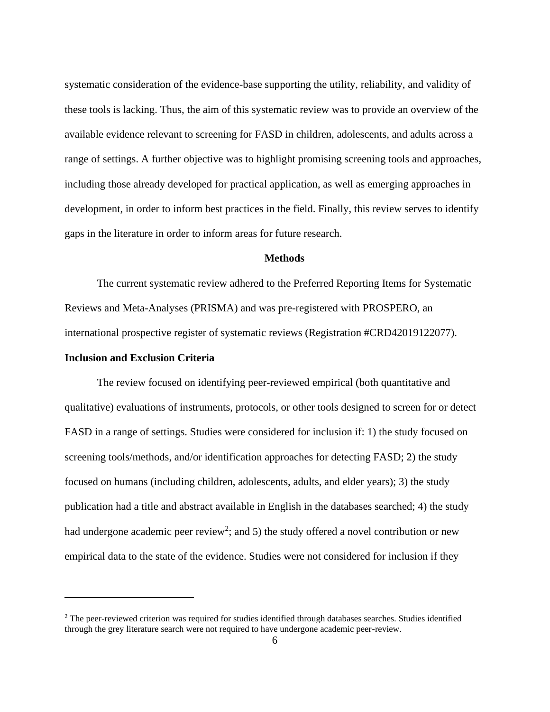systematic consideration of the evidence-base supporting the utility, reliability, and validity of these tools is lacking. Thus, the aim of this systematic review was to provide an overview of the available evidence relevant to screening for FASD in children, adolescents, and adults across a range of settings. A further objective was to highlight promising screening tools and approaches, including those already developed for practical application, as well as emerging approaches in development, in order to inform best practices in the field. Finally, this review serves to identify gaps in the literature in order to inform areas for future research.

#### **Methods**

<span id="page-12-0"></span>The current systematic review adhered to the Preferred Reporting Items for Systematic Reviews and Meta-Analyses (PRISMA) and was pre-registered with PROSPERO, an international prospective register of systematic reviews (Registration #CRD42019122077).

#### <span id="page-12-1"></span>**Inclusion and Exclusion Criteria**

The review focused on identifying peer-reviewed empirical (both quantitative and qualitative) evaluations of instruments, protocols, or other tools designed to screen for or detect FASD in a range of settings. Studies were considered for inclusion if: 1) the study focused on screening tools/methods, and/or identification approaches for detecting FASD; 2) the study focused on humans (including children, adolescents, adults, and elder years); 3) the study publication had a title and abstract available in English in the databases searched; 4) the study had undergone academic peer review<sup>2</sup>; and 5) the study offered a novel contribution or new empirical data to the state of the evidence. Studies were not considered for inclusion if they

<sup>&</sup>lt;sup>2</sup> The peer-reviewed criterion was required for studies identified through databases searches. Studies identified through the grey literature search were not required to have undergone academic peer-review.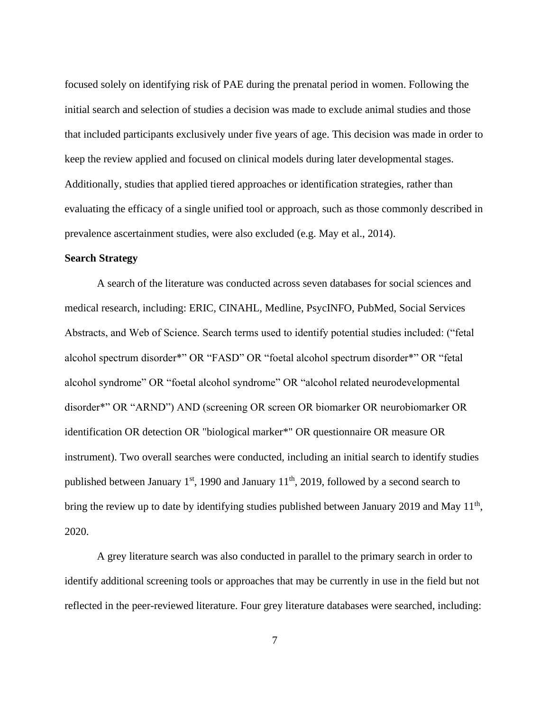focused solely on identifying risk of PAE during the prenatal period in women. Following the initial search and selection of studies a decision was made to exclude animal studies and those that included participants exclusively under five years of age. This decision was made in order to keep the review applied and focused on clinical models during later developmental stages. Additionally, studies that applied tiered approaches or identification strategies, rather than evaluating the efficacy of a single unified tool or approach, such as those commonly described in prevalence ascertainment studies, were also excluded (e.g. May et al., 2014).

#### <span id="page-13-0"></span>**Search Strategy**

A search of the literature was conducted across seven databases for social sciences and medical research, including: ERIC, CINAHL, Medline, PsycINFO, PubMed, Social Services Abstracts, and Web of Science. Search terms used to identify potential studies included: ("fetal alcohol spectrum disorder\*" OR "FASD" OR "foetal alcohol spectrum disorder\*" OR "fetal alcohol syndrome" OR "foetal alcohol syndrome" OR "alcohol related neurodevelopmental disorder\*" OR "ARND") AND (screening OR screen OR biomarker OR neurobiomarker OR identification OR detection OR "biological marker\*" OR questionnaire OR measure OR instrument). Two overall searches were conducted, including an initial search to identify studies published between January  $1<sup>st</sup>$ , 1990 and January  $11<sup>th</sup>$ , 2019, followed by a second search to bring the review up to date by identifying studies published between January 2019 and May  $11<sup>th</sup>$ , 2020.

A grey literature search was also conducted in parallel to the primary search in order to identify additional screening tools or approaches that may be currently in use in the field but not reflected in the peer-reviewed literature. Four grey literature databases were searched, including:

7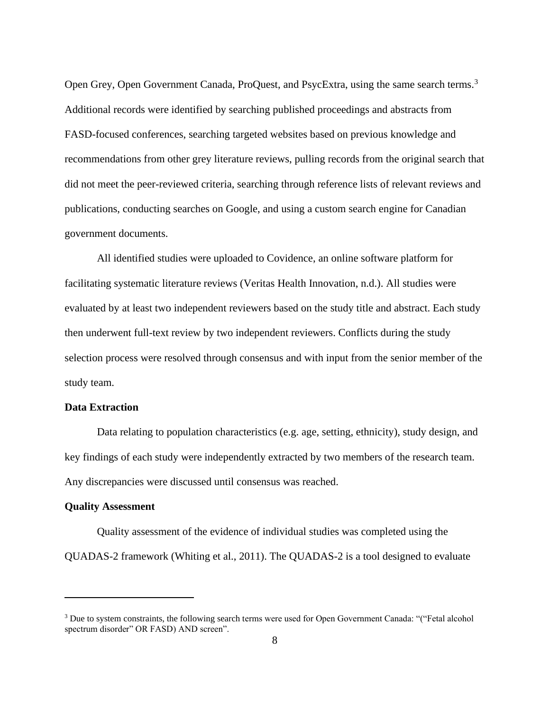Open Grey, Open Government Canada, ProQuest, and PsycExtra, using the same search terms.<sup>3</sup> Additional records were identified by searching published proceedings and abstracts from FASD-focused conferences, searching targeted websites based on previous knowledge and recommendations from other grey literature reviews, pulling records from the original search that did not meet the peer-reviewed criteria, searching through reference lists of relevant reviews and publications, conducting searches on Google, and using a custom search engine for Canadian government documents.

All identified studies were uploaded to Covidence, an online software platform for facilitating systematic literature reviews (Veritas Health Innovation, n.d.). All studies were evaluated by at least two independent reviewers based on the study title and abstract. Each study then underwent full-text review by two independent reviewers. Conflicts during the study selection process were resolved through consensus and with input from the senior member of the study team.

#### <span id="page-14-0"></span>**Data Extraction**

Data relating to population characteristics (e.g. age, setting, ethnicity), study design, and key findings of each study were independently extracted by two members of the research team. Any discrepancies were discussed until consensus was reached.

#### <span id="page-14-1"></span>**Quality Assessment**

Quality assessment of the evidence of individual studies was completed using the QUADAS-2 framework (Whiting et al., 2011). The QUADAS-2 is a tool designed to evaluate

<sup>&</sup>lt;sup>3</sup> Due to system constraints, the following search terms were used for Open Government Canada: "("Fetal alcohol spectrum disorder" OR FASD) AND screen".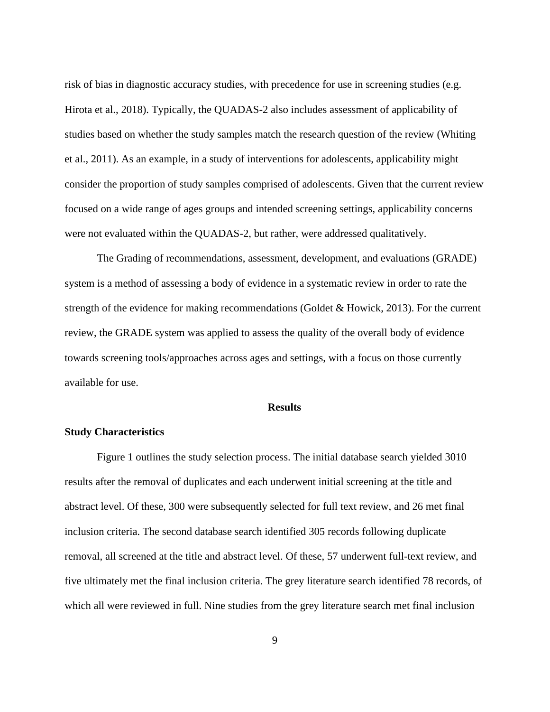risk of bias in diagnostic accuracy studies, with precedence for use in screening studies (e.g. Hirota et al., 2018). Typically, the QUADAS-2 also includes assessment of applicability of studies based on whether the study samples match the research question of the review (Whiting et al., 2011). As an example, in a study of interventions for adolescents, applicability might consider the proportion of study samples comprised of adolescents. Given that the current review focused on a wide range of ages groups and intended screening settings, applicability concerns were not evaluated within the QUADAS-2, but rather, were addressed qualitatively.

The Grading of recommendations, assessment, development, and evaluations (GRADE) system is a method of assessing a body of evidence in a systematic review in order to rate the strength of the evidence for making recommendations (Goldet & Howick, 2013). For the current review, the GRADE system was applied to assess the quality of the overall body of evidence towards screening tools/approaches across ages and settings, with a focus on those currently available for use.

#### **Results**

#### <span id="page-15-1"></span><span id="page-15-0"></span>**Study Characteristics**

Figure 1 outlines the study selection process. The initial database search yielded 3010 results after the removal of duplicates and each underwent initial screening at the title and abstract level. Of these, 300 were subsequently selected for full text review, and 26 met final inclusion criteria. The second database search identified 305 records following duplicate removal, all screened at the title and abstract level. Of these, 57 underwent full-text review, and five ultimately met the final inclusion criteria. The grey literature search identified 78 records, of which all were reviewed in full. Nine studies from the grey literature search met final inclusion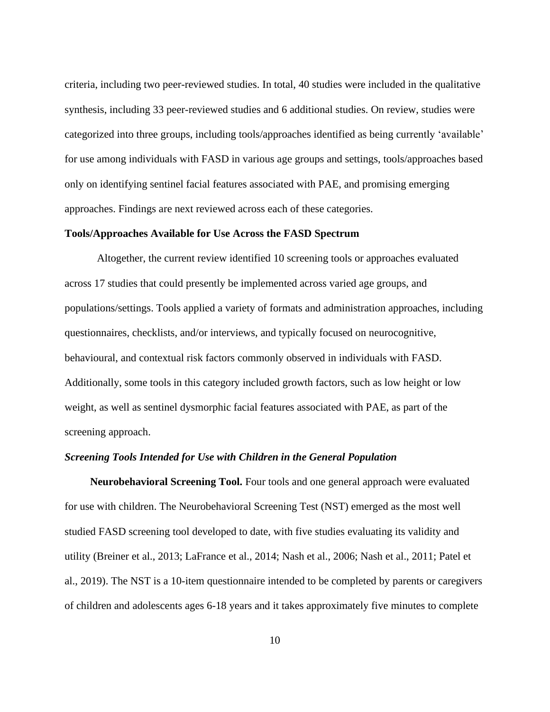criteria, including two peer-reviewed studies. In total, 40 studies were included in the qualitative synthesis, including 33 peer-reviewed studies and 6 additional studies. On review, studies were categorized into three groups, including tools/approaches identified as being currently 'available' for use among individuals with FASD in various age groups and settings, tools/approaches based only on identifying sentinel facial features associated with PAE, and promising emerging approaches. Findings are next reviewed across each of these categories.

#### <span id="page-16-0"></span>**Tools/Approaches Available for Use Across the FASD Spectrum**

Altogether, the current review identified 10 screening tools or approaches evaluated across 17 studies that could presently be implemented across varied age groups, and populations/settings. Tools applied a variety of formats and administration approaches, including questionnaires, checklists, and/or interviews, and typically focused on neurocognitive, behavioural, and contextual risk factors commonly observed in individuals with FASD. Additionally, some tools in this category included growth factors, such as low height or low weight, as well as sentinel dysmorphic facial features associated with PAE, as part of the screening approach.

#### <span id="page-16-1"></span>*Screening Tools Intended for Use with Children in the General Population*

**Neurobehavioral Screening Tool.** Four tools and one general approach were evaluated for use with children. The Neurobehavioral Screening Test (NST) emerged as the most well studied FASD screening tool developed to date, with five studies evaluating its validity and utility (Breiner et al., 2013; LaFrance et al., 2014; Nash et al., 2006; Nash et al., 2011; Patel et al., 2019). The NST is a 10-item questionnaire intended to be completed by parents or caregivers of children and adolescents ages 6-18 years and it takes approximately five minutes to complete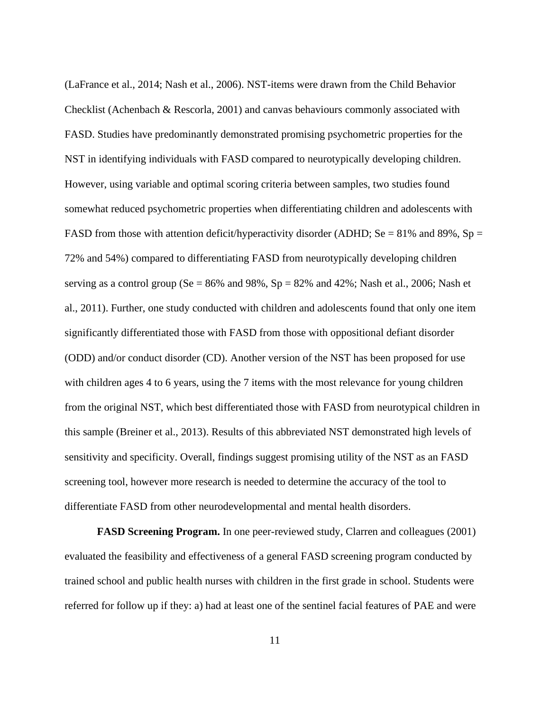(LaFrance et al., 2014; Nash et al., 2006). NST-items were drawn from the Child Behavior Checklist (Achenbach & Rescorla, 2001) and canvas behaviours commonly associated with FASD. Studies have predominantly demonstrated promising psychometric properties for the NST in identifying individuals with FASD compared to neurotypically developing children. However, using variable and optimal scoring criteria between samples, two studies found somewhat reduced psychometric properties when differentiating children and adolescents with FASD from those with attention deficit/hyperactivity disorder (ADHD; Se = 81% and 89%, Sp = 72% and 54%) compared to differentiating FASD from neurotypically developing children serving as a control group ( $Se = 86\%$  and  $98\%$ ,  $Sp = 82\%$  and  $42\%$ ; Nash et al., 2006; Nash et al., 2011). Further, one study conducted with children and adolescents found that only one item significantly differentiated those with FASD from those with oppositional defiant disorder (ODD) and/or conduct disorder (CD). Another version of the NST has been proposed for use with children ages 4 to 6 years, using the 7 items with the most relevance for young children from the original NST, which best differentiated those with FASD from neurotypical children in this sample (Breiner et al., 2013). Results of this abbreviated NST demonstrated high levels of sensitivity and specificity. Overall, findings suggest promising utility of the NST as an FASD screening tool, however more research is needed to determine the accuracy of the tool to differentiate FASD from other neurodevelopmental and mental health disorders.

**FASD Screening Program.** In one peer-reviewed study, Clarren and colleagues (2001) evaluated the feasibility and effectiveness of a general FASD screening program conducted by trained school and public health nurses with children in the first grade in school. Students were referred for follow up if they: a) had at least one of the sentinel facial features of PAE and were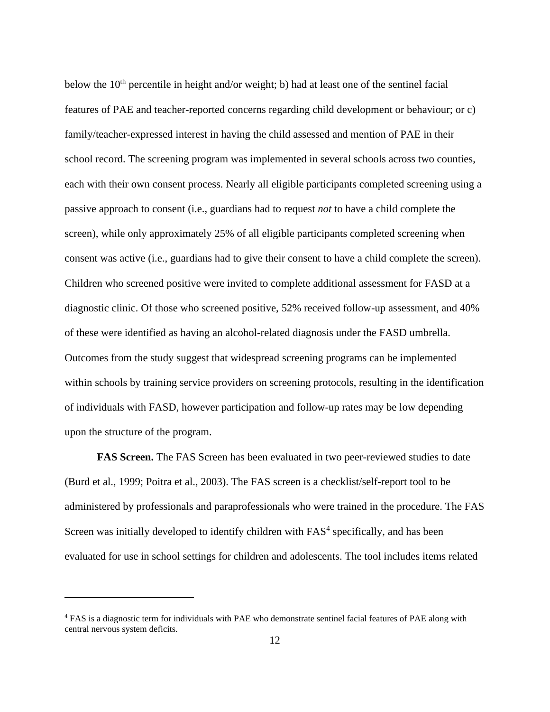below the 10<sup>th</sup> percentile in height and/or weight; b) had at least one of the sentinel facial features of PAE and teacher-reported concerns regarding child development or behaviour; or c) family/teacher-expressed interest in having the child assessed and mention of PAE in their school record. The screening program was implemented in several schools across two counties, each with their own consent process. Nearly all eligible participants completed screening using a passive approach to consent (i.e., guardians had to request *not* to have a child complete the screen), while only approximately 25% of all eligible participants completed screening when consent was active (i.e., guardians had to give their consent to have a child complete the screen). Children who screened positive were invited to complete additional assessment for FASD at a diagnostic clinic. Of those who screened positive, 52% received follow-up assessment, and 40% of these were identified as having an alcohol-related diagnosis under the FASD umbrella. Outcomes from the study suggest that widespread screening programs can be implemented within schools by training service providers on screening protocols, resulting in the identification of individuals with FASD, however participation and follow-up rates may be low depending upon the structure of the program.

**FAS Screen.** The FAS Screen has been evaluated in two peer-reviewed studies to date (Burd et al., 1999; Poitra et al., 2003). The FAS screen is a checklist/self-report tool to be administered by professionals and paraprofessionals who were trained in the procedure. The FAS Screen was initially developed to identify children with FAS<sup>4</sup> specifically, and has been evaluated for use in school settings for children and adolescents. The tool includes items related

<sup>&</sup>lt;sup>4</sup> FAS is a diagnostic term for individuals with PAE who demonstrate sentinel facial features of PAE along with central nervous system deficits.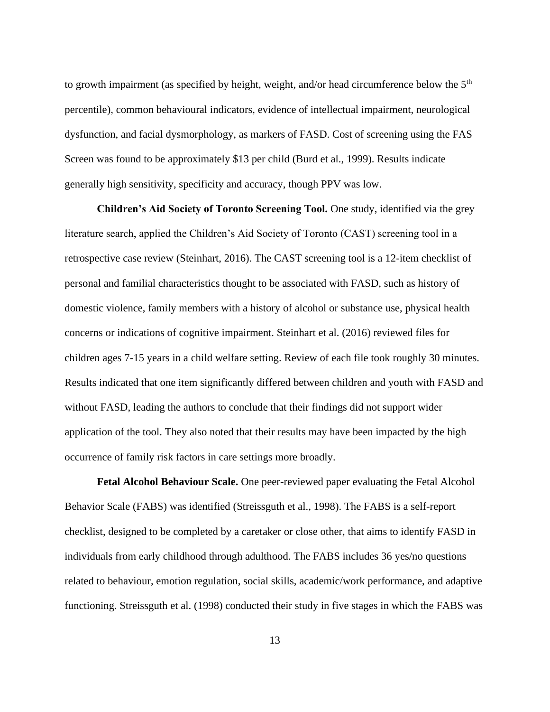to growth impairment (as specified by height, weight, and/or head circumference below the  $5<sup>th</sup>$ percentile), common behavioural indicators, evidence of intellectual impairment, neurological dysfunction, and facial dysmorphology, as markers of FASD. Cost of screening using the FAS Screen was found to be approximately \$13 per child (Burd et al., 1999). Results indicate generally high sensitivity, specificity and accuracy, though PPV was low.

**Children's Aid Society of Toronto Screening Tool.** One study, identified via the grey literature search, applied the Children's Aid Society of Toronto (CAST) screening tool in a retrospective case review (Steinhart, 2016). The CAST screening tool is a 12-item checklist of personal and familial characteristics thought to be associated with FASD, such as history of domestic violence, family members with a history of alcohol or substance use, physical health concerns or indications of cognitive impairment. Steinhart et al. (2016) reviewed files for children ages 7-15 years in a child welfare setting. Review of each file took roughly 30 minutes. Results indicated that one item significantly differed between children and youth with FASD and without FASD, leading the authors to conclude that their findings did not support wider application of the tool. They also noted that their results may have been impacted by the high occurrence of family risk factors in care settings more broadly.

**Fetal Alcohol Behaviour Scale.** One peer-reviewed paper evaluating the Fetal Alcohol Behavior Scale (FABS) was identified (Streissguth et al., 1998). The FABS is a self-report checklist, designed to be completed by a caretaker or close other, that aims to identify FASD in individuals from early childhood through adulthood. The FABS includes 36 yes/no questions related to behaviour, emotion regulation, social skills, academic/work performance, and adaptive functioning. Streissguth et al. (1998) conducted their study in five stages in which the FABS was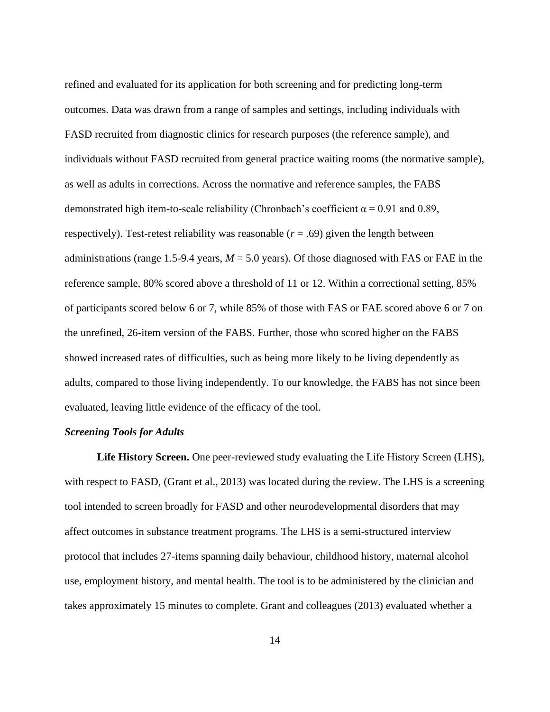refined and evaluated for its application for both screening and for predicting long-term outcomes. Data was drawn from a range of samples and settings, including individuals with FASD recruited from diagnostic clinics for research purposes (the reference sample), and individuals without FASD recruited from general practice waiting rooms (the normative sample), as well as adults in corrections. Across the normative and reference samples, the FABS demonstrated high item-to-scale reliability (Chronbach's coefficient  $\alpha = 0.91$  and 0.89, respectively). Test-retest reliability was reasonable  $(r = .69)$  given the length between administrations (range 1.5-9.4 years, *M* = 5.0 years). Of those diagnosed with FAS or FAE in the reference sample, 80% scored above a threshold of 11 or 12. Within a correctional setting, 85% of participants scored below 6 or 7, while 85% of those with FAS or FAE scored above 6 or 7 on the unrefined, 26-item version of the FABS. Further, those who scored higher on the FABS showed increased rates of difficulties, such as being more likely to be living dependently as adults, compared to those living independently. To our knowledge, the FABS has not since been evaluated, leaving little evidence of the efficacy of the tool.

#### <span id="page-20-0"></span>*Screening Tools for Adults*

**Life History Screen.** One peer-reviewed study evaluating the Life History Screen (LHS), with respect to FASD, (Grant et al., 2013) was located during the review. The LHS is a screening tool intended to screen broadly for FASD and other neurodevelopmental disorders that may affect outcomes in substance treatment programs. The LHS is a semi-structured interview protocol that includes 27-items spanning daily behaviour, childhood history, maternal alcohol use, employment history, and mental health. The tool is to be administered by the clinician and takes approximately 15 minutes to complete. Grant and colleagues (2013) evaluated whether a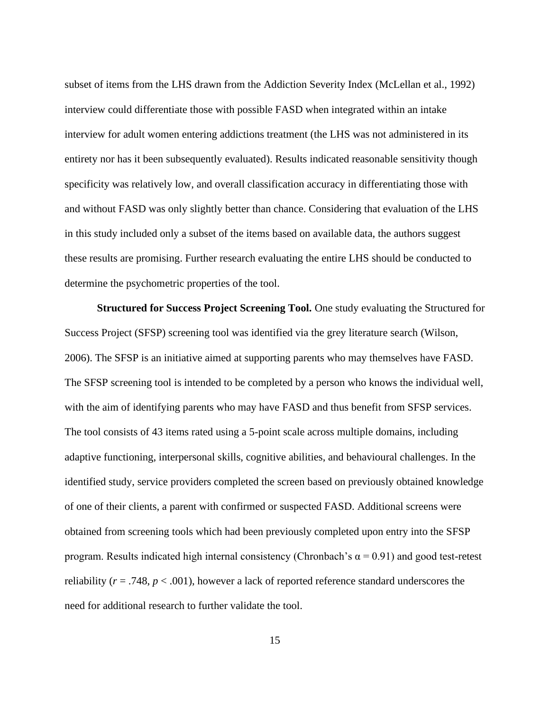subset of items from the LHS drawn from the Addiction Severity Index (McLellan et al., 1992) interview could differentiate those with possible FASD when integrated within an intake interview for adult women entering addictions treatment (the LHS was not administered in its entirety nor has it been subsequently evaluated). Results indicated reasonable sensitivity though specificity was relatively low, and overall classification accuracy in differentiating those with and without FASD was only slightly better than chance. Considering that evaluation of the LHS in this study included only a subset of the items based on available data, the authors suggest these results are promising. Further research evaluating the entire LHS should be conducted to determine the psychometric properties of the tool.

**Structured for Success Project Screening Tool.** One study evaluating the Structured for Success Project (SFSP) screening tool was identified via the grey literature search (Wilson, 2006). The SFSP is an initiative aimed at supporting parents who may themselves have FASD. The SFSP screening tool is intended to be completed by a person who knows the individual well, with the aim of identifying parents who may have FASD and thus benefit from SFSP services. The tool consists of 43 items rated using a 5-point scale across multiple domains, including adaptive functioning, interpersonal skills, cognitive abilities, and behavioural challenges. In the identified study, service providers completed the screen based on previously obtained knowledge of one of their clients, a parent with confirmed or suspected FASD. Additional screens were obtained from screening tools which had been previously completed upon entry into the SFSP program. Results indicated high internal consistency (Chronbach's  $\alpha$  = 0.91) and good test-retest reliability ( $r = .748$ ,  $p < .001$ ), however a lack of reported reference standard underscores the need for additional research to further validate the tool.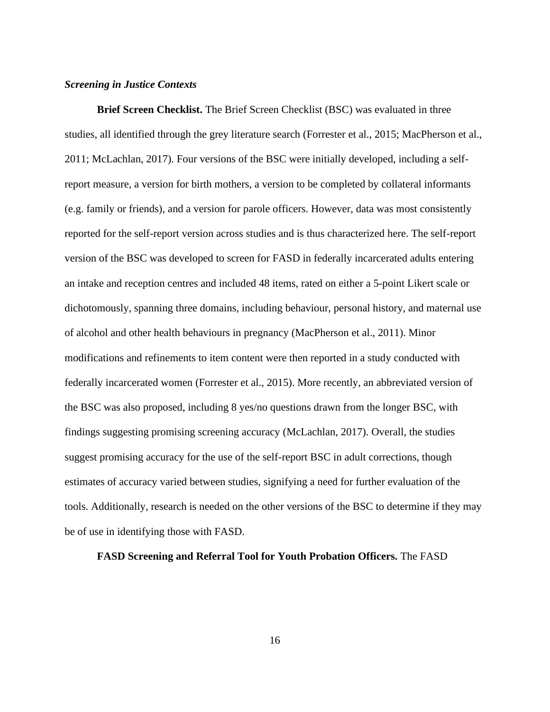#### <span id="page-22-0"></span>*Screening in Justice Contexts*

**Brief Screen Checklist.** The Brief Screen Checklist (BSC) was evaluated in three studies, all identified through the grey literature search (Forrester et al., 2015; MacPherson et al., 2011; McLachlan, 2017). Four versions of the BSC were initially developed, including a selfreport measure, a version for birth mothers, a version to be completed by collateral informants (e.g. family or friends), and a version for parole officers. However, data was most consistently reported for the self-report version across studies and is thus characterized here. The self-report version of the BSC was developed to screen for FASD in federally incarcerated adults entering an intake and reception centres and included 48 items, rated on either a 5-point Likert scale or dichotomously, spanning three domains, including behaviour, personal history, and maternal use of alcohol and other health behaviours in pregnancy (MacPherson et al., 2011). Minor modifications and refinements to item content were then reported in a study conducted with federally incarcerated women (Forrester et al., 2015). More recently, an abbreviated version of the BSC was also proposed, including 8 yes/no questions drawn from the longer BSC, with findings suggesting promising screening accuracy (McLachlan, 2017). Overall, the studies suggest promising accuracy for the use of the self-report BSC in adult corrections, though estimates of accuracy varied between studies, signifying a need for further evaluation of the tools. Additionally, research is needed on the other versions of the BSC to determine if they may be of use in identifying those with FASD.

#### **FASD Screening and Referral Tool for Youth Probation Officers.** The FASD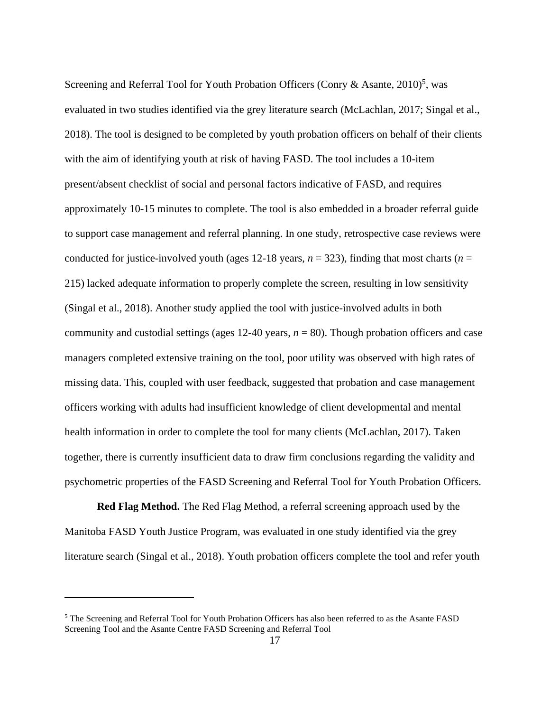Screening and Referral Tool for Youth Probation Officers (Conry & Asante, 2010)<sup>5</sup>, was evaluated in two studies identified via the grey literature search (McLachlan, 2017; Singal et al., 2018). The tool is designed to be completed by youth probation officers on behalf of their clients with the aim of identifying youth at risk of having FASD. The tool includes a 10-item present/absent checklist of social and personal factors indicative of FASD, and requires approximately 10-15 minutes to complete. The tool is also embedded in a broader referral guide to support case management and referral planning. In one study, retrospective case reviews were conducted for justice-involved youth (ages 12-18 years,  $n = 323$ ), finding that most charts ( $n =$ 215) lacked adequate information to properly complete the screen, resulting in low sensitivity (Singal et al., 2018). Another study applied the tool with justice-involved adults in both community and custodial settings (ages  $12-40$  years,  $n = 80$ ). Though probation officers and case managers completed extensive training on the tool, poor utility was observed with high rates of missing data. This, coupled with user feedback, suggested that probation and case management officers working with adults had insufficient knowledge of client developmental and mental health information in order to complete the tool for many clients (McLachlan, 2017). Taken together, there is currently insufficient data to draw firm conclusions regarding the validity and psychometric properties of the FASD Screening and Referral Tool for Youth Probation Officers.

**Red Flag Method.** The Red Flag Method, a referral screening approach used by the Manitoba FASD Youth Justice Program, was evaluated in one study identified via the grey literature search (Singal et al., 2018). Youth probation officers complete the tool and refer youth

<sup>5</sup> The Screening and Referral Tool for Youth Probation Officers has also been referred to as the Asante FASD Screening Tool and the Asante Centre FASD Screening and Referral Tool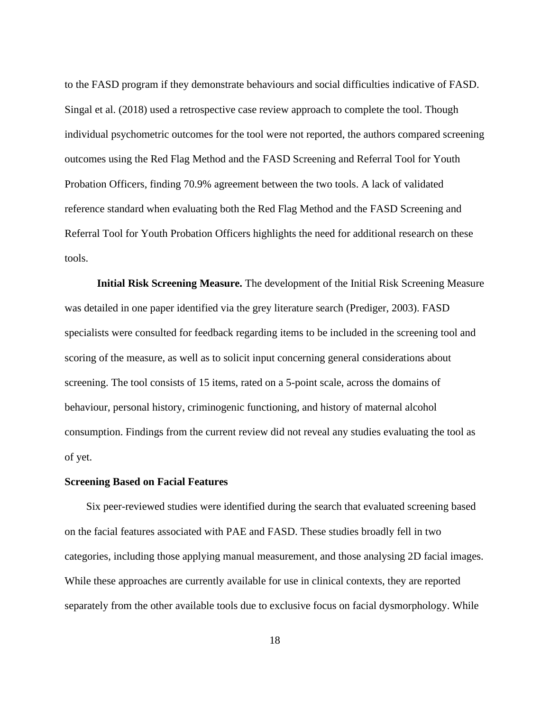to the FASD program if they demonstrate behaviours and social difficulties indicative of FASD. Singal et al. (2018) used a retrospective case review approach to complete the tool. Though individual psychometric outcomes for the tool were not reported, the authors compared screening outcomes using the Red Flag Method and the FASD Screening and Referral Tool for Youth Probation Officers, finding 70.9% agreement between the two tools. A lack of validated reference standard when evaluating both the Red Flag Method and the FASD Screening and Referral Tool for Youth Probation Officers highlights the need for additional research on these tools.

**Initial Risk Screening Measure.** The development of the Initial Risk Screening Measure was detailed in one paper identified via the grey literature search (Prediger, 2003). FASD specialists were consulted for feedback regarding items to be included in the screening tool and scoring of the measure, as well as to solicit input concerning general considerations about screening. The tool consists of 15 items, rated on a 5-point scale, across the domains of behaviour, personal history, criminogenic functioning, and history of maternal alcohol consumption. Findings from the current review did not reveal any studies evaluating the tool as of yet.

#### <span id="page-24-0"></span>**Screening Based on Facial Features**

Six peer-reviewed studies were identified during the search that evaluated screening based on the facial features associated with PAE and FASD. These studies broadly fell in two categories, including those applying manual measurement, and those analysing 2D facial images. While these approaches are currently available for use in clinical contexts, they are reported separately from the other available tools due to exclusive focus on facial dysmorphology. While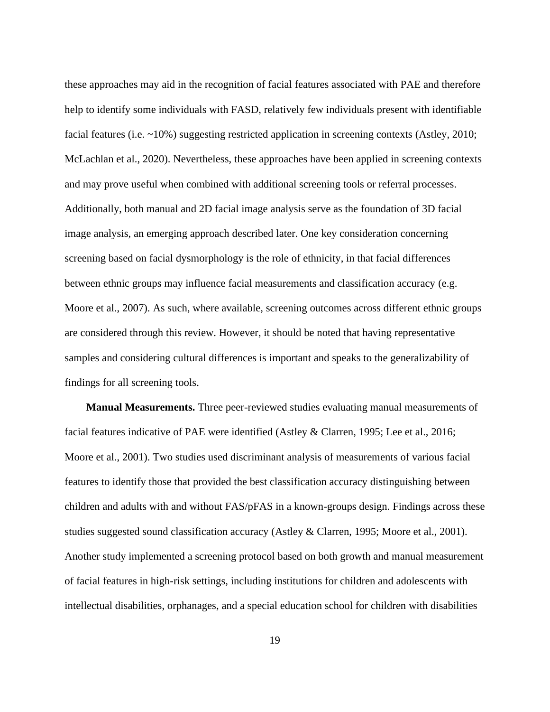these approaches may aid in the recognition of facial features associated with PAE and therefore help to identify some individuals with FASD, relatively few individuals present with identifiable facial features (i.e. ~10%) suggesting restricted application in screening contexts (Astley, 2010; McLachlan et al., 2020). Nevertheless, these approaches have been applied in screening contexts and may prove useful when combined with additional screening tools or referral processes. Additionally, both manual and 2D facial image analysis serve as the foundation of 3D facial image analysis, an emerging approach described later. One key consideration concerning screening based on facial dysmorphology is the role of ethnicity, in that facial differences between ethnic groups may influence facial measurements and classification accuracy (e.g. Moore et al., 2007). As such, where available, screening outcomes across different ethnic groups are considered through this review. However, it should be noted that having representative samples and considering cultural differences is important and speaks to the generalizability of findings for all screening tools.

**Manual Measurements.** Three peer-reviewed studies evaluating manual measurements of facial features indicative of PAE were identified (Astley & Clarren, 1995; Lee et al., 2016; Moore et al., 2001). Two studies used discriminant analysis of measurements of various facial features to identify those that provided the best classification accuracy distinguishing between children and adults with and without FAS/pFAS in a known-groups design. Findings across these studies suggested sound classification accuracy (Astley & Clarren, 1995; Moore et al., 2001). Another study implemented a screening protocol based on both growth and manual measurement of facial features in high-risk settings, including institutions for children and adolescents with intellectual disabilities, orphanages, and a special education school for children with disabilities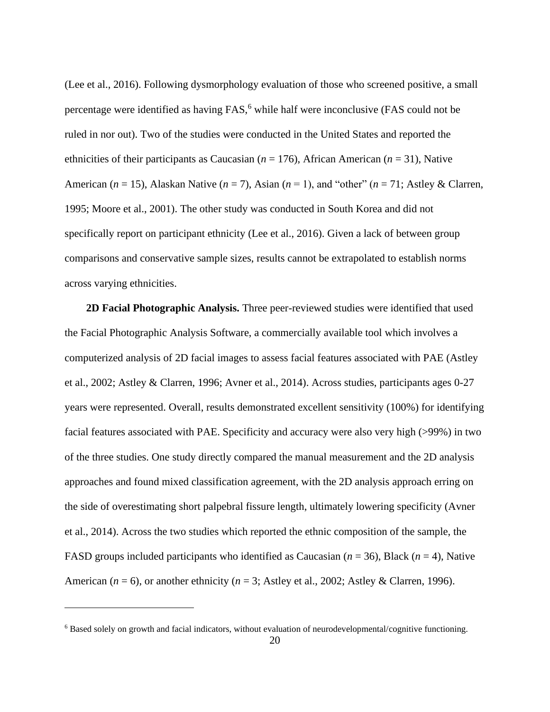(Lee et al., 2016). Following dysmorphology evaluation of those who screened positive, a small percentage were identified as having FAS,<sup>6</sup> while half were inconclusive (FAS could not be ruled in nor out). Two of the studies were conducted in the United States and reported the ethnicities of their participants as Caucasian (*n* = 176), African American (*n* = 31), Native American (*n* = 15), Alaskan Native (*n* = 7), Asian (*n* = 1), and "other" (*n* = 71; Astley & Clarren, 1995; Moore et al., 2001). The other study was conducted in South Korea and did not specifically report on participant ethnicity (Lee et al., 2016). Given a lack of between group comparisons and conservative sample sizes, results cannot be extrapolated to establish norms across varying ethnicities.

**2D Facial Photographic Analysis.** Three peer-reviewed studies were identified that used the Facial Photographic Analysis Software, a commercially available tool which involves a computerized analysis of 2D facial images to assess facial features associated with PAE (Astley et al., 2002; Astley & Clarren, 1996; Avner et al., 2014). Across studies, participants ages 0-27 years were represented. Overall, results demonstrated excellent sensitivity (100%) for identifying facial features associated with PAE. Specificity and accuracy were also very high (>99%) in two of the three studies. One study directly compared the manual measurement and the 2D analysis approaches and found mixed classification agreement, with the 2D analysis approach erring on the side of overestimating short palpebral fissure length, ultimately lowering specificity (Avner et al., 2014). Across the two studies which reported the ethnic composition of the sample, the FASD groups included participants who identified as Caucasian (*n* = 36), Black (*n* = 4), Native American ( $n = 6$ ), or another ethnicity ( $n = 3$ ; Astley et al., 2002; Astley & Clarren, 1996).

<sup>6</sup> Based solely on growth and facial indicators, without evaluation of neurodevelopmental/cognitive functioning.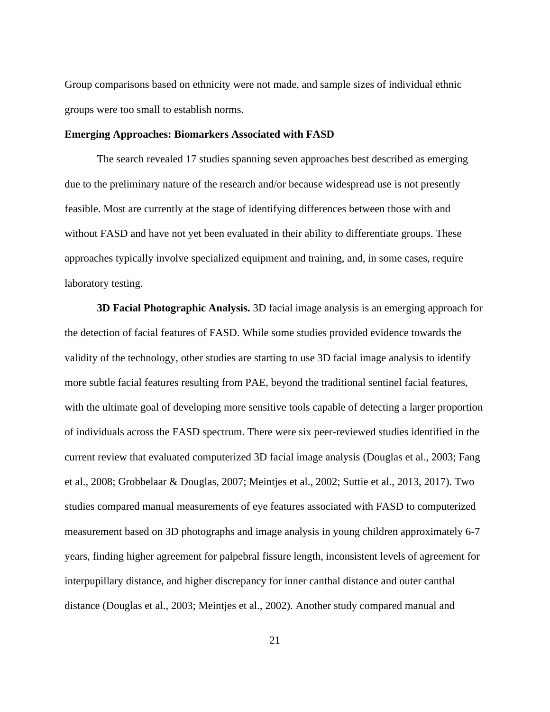Group comparisons based on ethnicity were not made, and sample sizes of individual ethnic groups were too small to establish norms.

#### <span id="page-27-0"></span>**Emerging Approaches: Biomarkers Associated with FASD**

The search revealed 17 studies spanning seven approaches best described as emerging due to the preliminary nature of the research and/or because widespread use is not presently feasible. Most are currently at the stage of identifying differences between those with and without FASD and have not yet been evaluated in their ability to differentiate groups. These approaches typically involve specialized equipment and training, and, in some cases, require laboratory testing.

**3D Facial Photographic Analysis.** 3D facial image analysis is an emerging approach for the detection of facial features of FASD. While some studies provided evidence towards the validity of the technology, other studies are starting to use 3D facial image analysis to identify more subtle facial features resulting from PAE, beyond the traditional sentinel facial features, with the ultimate goal of developing more sensitive tools capable of detecting a larger proportion of individuals across the FASD spectrum. There were six peer-reviewed studies identified in the current review that evaluated computerized 3D facial image analysis (Douglas et al., 2003; Fang et al., 2008; Grobbelaar & Douglas, 2007; Meintjes et al., 2002; Suttie et al., 2013, 2017). Two studies compared manual measurements of eye features associated with FASD to computerized measurement based on 3D photographs and image analysis in young children approximately 6-7 years, finding higher agreement for palpebral fissure length, inconsistent levels of agreement for interpupillary distance, and higher discrepancy for inner canthal distance and outer canthal distance (Douglas et al., 2003; Meintjes et al., 2002). Another study compared manual and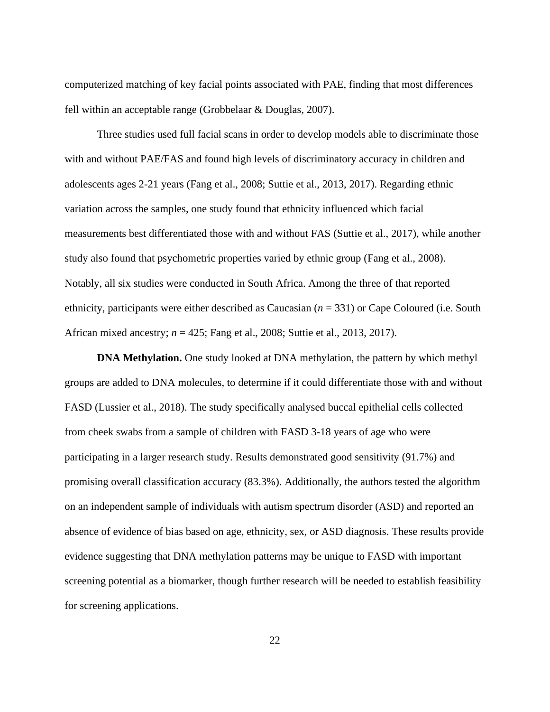computerized matching of key facial points associated with PAE, finding that most differences fell within an acceptable range (Grobbelaar & Douglas, 2007).

Three studies used full facial scans in order to develop models able to discriminate those with and without PAE/FAS and found high levels of discriminatory accuracy in children and adolescents ages 2-21 years (Fang et al., 2008; Suttie et al., 2013, 2017). Regarding ethnic variation across the samples, one study found that ethnicity influenced which facial measurements best differentiated those with and without FAS (Suttie et al., 2017), while another study also found that psychometric properties varied by ethnic group (Fang et al., 2008). Notably, all six studies were conducted in South Africa. Among the three of that reported ethnicity, participants were either described as Caucasian (*n* = 331) or Cape Coloured (i.e. South African mixed ancestry; *n* = 425; Fang et al., 2008; Suttie et al., 2013, 2017).

**DNA Methylation.** One study looked at DNA methylation, the pattern by which methyl groups are added to DNA molecules, to determine if it could differentiate those with and without FASD (Lussier et al., 2018). The study specifically analysed buccal epithelial cells collected from cheek swabs from a sample of children with FASD 3-18 years of age who were participating in a larger research study. Results demonstrated good sensitivity (91.7%) and promising overall classification accuracy (83.3%). Additionally, the authors tested the algorithm on an independent sample of individuals with autism spectrum disorder (ASD) and reported an absence of evidence of bias based on age, ethnicity, sex, or ASD diagnosis. These results provide evidence suggesting that DNA methylation patterns may be unique to FASD with important screening potential as a biomarker, though further research will be needed to establish feasibility for screening applications.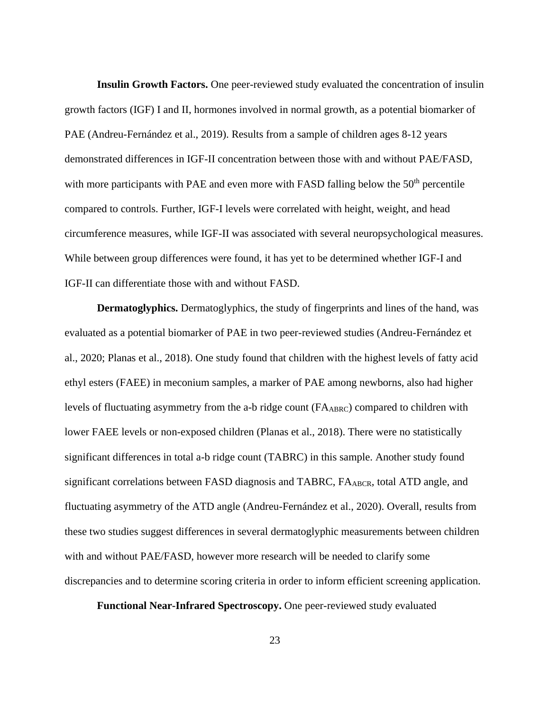**Insulin Growth Factors.** One peer-reviewed study evaluated the concentration of insulin growth factors (IGF) I and II, hormones involved in normal growth, as a potential biomarker of PAE (Andreu-Fernández et al., 2019). Results from a sample of children ages 8-12 years demonstrated differences in IGF-II concentration between those with and without PAE/FASD, with more participants with PAE and even more with FASD falling below the  $50<sup>th</sup>$  percentile compared to controls. Further, IGF-I levels were correlated with height, weight, and head circumference measures, while IGF-II was associated with several neuropsychological measures. While between group differences were found, it has yet to be determined whether IGF-I and IGF-II can differentiate those with and without FASD.

**Dermatoglyphics.** Dermatoglyphics, the study of fingerprints and lines of the hand, was evaluated as a potential biomarker of PAE in two peer-reviewed studies (Andreu-Fernández et al., 2020; Planas et al., 2018). One study found that children with the highest levels of fatty acid ethyl esters (FAEE) in meconium samples, a marker of PAE among newborns, also had higher levels of fluctuating asymmetry from the a-b ridge count (FAABRC) compared to children with lower FAEE levels or non-exposed children (Planas et al., 2018). There were no statistically significant differences in total a-b ridge count (TABRC) in this sample. Another study found significant correlations between FASD diagnosis and TABRC, FA<sub>ABCR</sub>, total ATD angle, and fluctuating asymmetry of the ATD angle (Andreu-Fernández et al., 2020). Overall, results from these two studies suggest differences in several dermatoglyphic measurements between children with and without PAE/FASD, however more research will be needed to clarify some discrepancies and to determine scoring criteria in order to inform efficient screening application.

**Functional Near-Infrared Spectroscopy.** One peer-reviewed study evaluated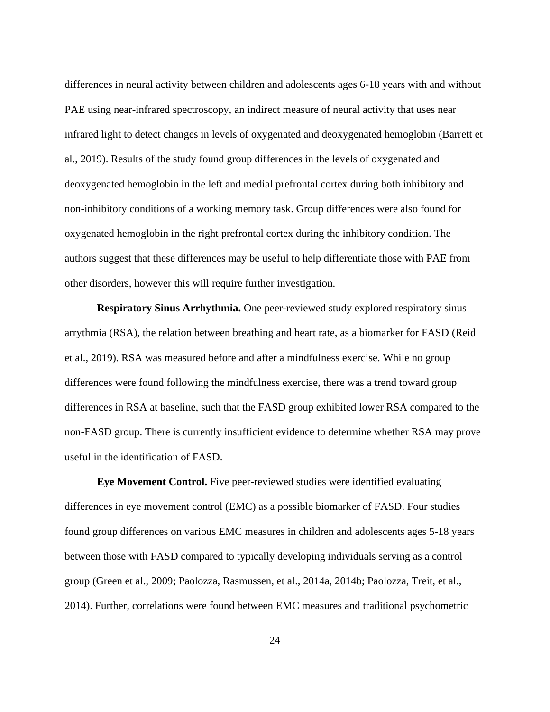differences in neural activity between children and adolescents ages 6-18 years with and without PAE using near-infrared spectroscopy, an indirect measure of neural activity that uses near infrared light to detect changes in levels of oxygenated and deoxygenated hemoglobin (Barrett et al., 2019). Results of the study found group differences in the levels of oxygenated and deoxygenated hemoglobin in the left and medial prefrontal cortex during both inhibitory and non-inhibitory conditions of a working memory task. Group differences were also found for oxygenated hemoglobin in the right prefrontal cortex during the inhibitory condition. The authors suggest that these differences may be useful to help differentiate those with PAE from other disorders, however this will require further investigation.

**Respiratory Sinus Arrhythmia.** One peer-reviewed study explored respiratory sinus arrythmia (RSA), the relation between breathing and heart rate, as a biomarker for FASD (Reid et al., 2019). RSA was measured before and after a mindfulness exercise. While no group differences were found following the mindfulness exercise, there was a trend toward group differences in RSA at baseline, such that the FASD group exhibited lower RSA compared to the non-FASD group. There is currently insufficient evidence to determine whether RSA may prove useful in the identification of FASD.

**Eye Movement Control.** Five peer-reviewed studies were identified evaluating differences in eye movement control (EMC) as a possible biomarker of FASD. Four studies found group differences on various EMC measures in children and adolescents ages 5-18 years between those with FASD compared to typically developing individuals serving as a control group (Green et al., 2009; Paolozza, Rasmussen, et al., 2014a, 2014b; Paolozza, Treit, et al., 2014). Further, correlations were found between EMC measures and traditional psychometric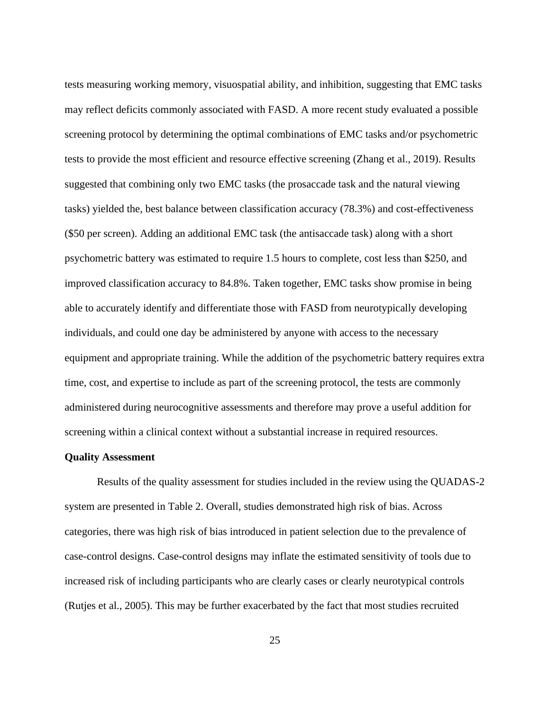tests measuring working memory, visuospatial ability, and inhibition, suggesting that EMC tasks may reflect deficits commonly associated with FASD. A more recent study evaluated a possible screening protocol by determining the optimal combinations of EMC tasks and/or psychometric tests to provide the most efficient and resource effective screening (Zhang et al., 2019). Results suggested that combining only two EMC tasks (the prosaccade task and the natural viewing tasks) yielded the, best balance between classification accuracy (78.3%) and cost-effectiveness (\$50 per screen). Adding an additional EMC task (the antisaccade task) along with a short psychometric battery was estimated to require 1.5 hours to complete, cost less than \$250, and improved classification accuracy to 84.8%. Taken together, EMC tasks show promise in being able to accurately identify and differentiate those with FASD from neurotypically developing individuals, and could one day be administered by anyone with access to the necessary equipment and appropriate training. While the addition of the psychometric battery requires extra time, cost, and expertise to include as part of the screening protocol, the tests are commonly administered during neurocognitive assessments and therefore may prove a useful addition for screening within a clinical context without a substantial increase in required resources.

#### <span id="page-31-0"></span>**Quality Assessment**

Results of the quality assessment for studies included in the review using the QUADAS-2 system are presented in Table 2. Overall, studies demonstrated high risk of bias. Across categories, there was high risk of bias introduced in patient selection due to the prevalence of case-control designs. Case-control designs may inflate the estimated sensitivity of tools due to increased risk of including participants who are clearly cases or clearly neurotypical controls (Rutjes et al., 2005). This may be further exacerbated by the fact that most studies recruited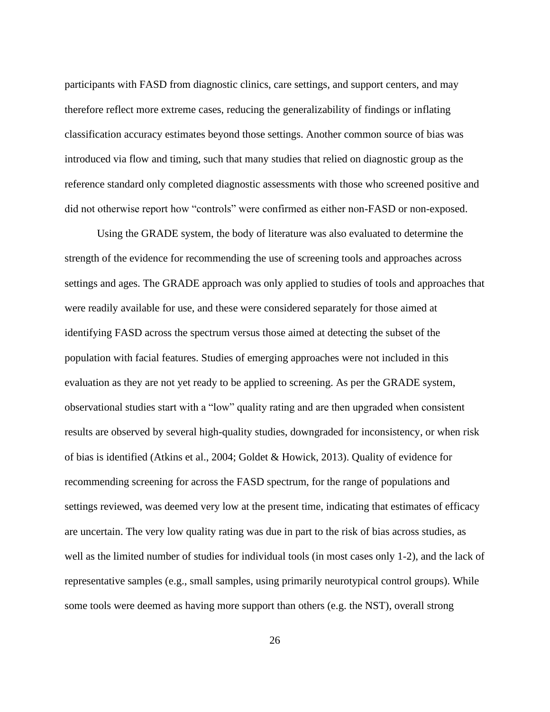participants with FASD from diagnostic clinics, care settings, and support centers, and may therefore reflect more extreme cases, reducing the generalizability of findings or inflating classification accuracy estimates beyond those settings. Another common source of bias was introduced via flow and timing, such that many studies that relied on diagnostic group as the reference standard only completed diagnostic assessments with those who screened positive and did not otherwise report how "controls" were confirmed as either non-FASD or non-exposed.

Using the GRADE system, the body of literature was also evaluated to determine the strength of the evidence for recommending the use of screening tools and approaches across settings and ages. The GRADE approach was only applied to studies of tools and approaches that were readily available for use, and these were considered separately for those aimed at identifying FASD across the spectrum versus those aimed at detecting the subset of the population with facial features. Studies of emerging approaches were not included in this evaluation as they are not yet ready to be applied to screening. As per the GRADE system, observational studies start with a "low" quality rating and are then upgraded when consistent results are observed by several high-quality studies, downgraded for inconsistency, or when risk of bias is identified (Atkins et al., 2004; Goldet & Howick, 2013). Quality of evidence for recommending screening for across the FASD spectrum, for the range of populations and settings reviewed, was deemed very low at the present time, indicating that estimates of efficacy are uncertain. The very low quality rating was due in part to the risk of bias across studies, as well as the limited number of studies for individual tools (in most cases only 1-2), and the lack of representative samples (e.g., small samples, using primarily neurotypical control groups). While some tools were deemed as having more support than others (e.g. the NST), overall strong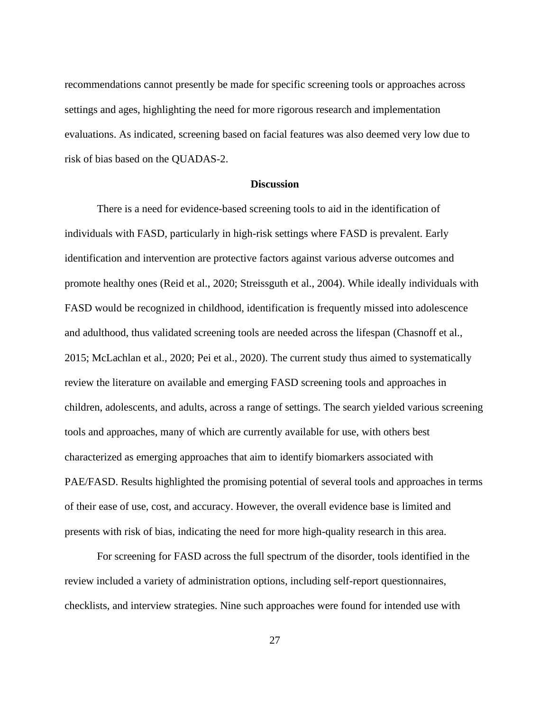recommendations cannot presently be made for specific screening tools or approaches across settings and ages, highlighting the need for more rigorous research and implementation evaluations. As indicated, screening based on facial features was also deemed very low due to risk of bias based on the QUADAS-2.

#### **Discussion**

<span id="page-33-0"></span>There is a need for evidence-based screening tools to aid in the identification of individuals with FASD, particularly in high-risk settings where FASD is prevalent. Early identification and intervention are protective factors against various adverse outcomes and promote healthy ones (Reid et al., 2020; Streissguth et al., 2004). While ideally individuals with FASD would be recognized in childhood, identification is frequently missed into adolescence and adulthood, thus validated screening tools are needed across the lifespan (Chasnoff et al., 2015; McLachlan et al., 2020; Pei et al., 2020). The current study thus aimed to systematically review the literature on available and emerging FASD screening tools and approaches in children, adolescents, and adults, across a range of settings. The search yielded various screening tools and approaches, many of which are currently available for use, with others best characterized as emerging approaches that aim to identify biomarkers associated with PAE/FASD. Results highlighted the promising potential of several tools and approaches in terms of their ease of use, cost, and accuracy. However, the overall evidence base is limited and presents with risk of bias, indicating the need for more high-quality research in this area.

For screening for FASD across the full spectrum of the disorder, tools identified in the review included a variety of administration options, including self-report questionnaires, checklists, and interview strategies. Nine such approaches were found for intended use with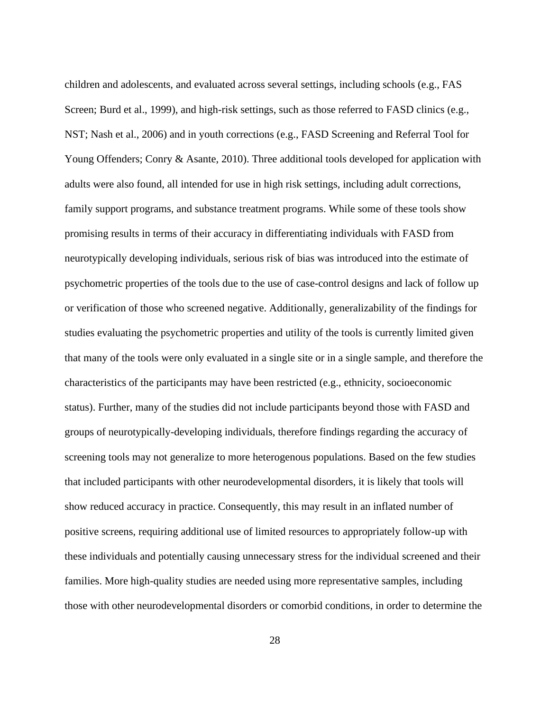children and adolescents, and evaluated across several settings, including schools (e.g., FAS Screen; Burd et al., 1999), and high-risk settings, such as those referred to FASD clinics (e.g., NST; Nash et al., 2006) and in youth corrections (e.g., FASD Screening and Referral Tool for Young Offenders; Conry & Asante, 2010). Three additional tools developed for application with adults were also found, all intended for use in high risk settings, including adult corrections, family support programs, and substance treatment programs. While some of these tools show promising results in terms of their accuracy in differentiating individuals with FASD from neurotypically developing individuals, serious risk of bias was introduced into the estimate of psychometric properties of the tools due to the use of case-control designs and lack of follow up or verification of those who screened negative. Additionally, generalizability of the findings for studies evaluating the psychometric properties and utility of the tools is currently limited given that many of the tools were only evaluated in a single site or in a single sample, and therefore the characteristics of the participants may have been restricted (e.g., ethnicity, socioeconomic status). Further, many of the studies did not include participants beyond those with FASD and groups of neurotypically-developing individuals, therefore findings regarding the accuracy of screening tools may not generalize to more heterogenous populations. Based on the few studies that included participants with other neurodevelopmental disorders, it is likely that tools will show reduced accuracy in practice. Consequently, this may result in an inflated number of positive screens, requiring additional use of limited resources to appropriately follow-up with these individuals and potentially causing unnecessary stress for the individual screened and their families. More high-quality studies are needed using more representative samples, including those with other neurodevelopmental disorders or comorbid conditions, in order to determine the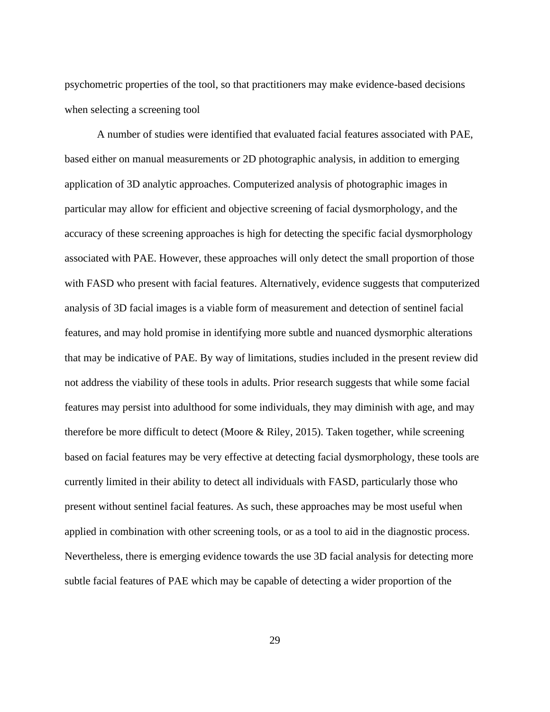psychometric properties of the tool, so that practitioners may make evidence-based decisions when selecting a screening tool

A number of studies were identified that evaluated facial features associated with PAE, based either on manual measurements or 2D photographic analysis, in addition to emerging application of 3D analytic approaches. Computerized analysis of photographic images in particular may allow for efficient and objective screening of facial dysmorphology, and the accuracy of these screening approaches is high for detecting the specific facial dysmorphology associated with PAE. However, these approaches will only detect the small proportion of those with FASD who present with facial features. Alternatively, evidence suggests that computerized analysis of 3D facial images is a viable form of measurement and detection of sentinel facial features, and may hold promise in identifying more subtle and nuanced dysmorphic alterations that may be indicative of PAE. By way of limitations, studies included in the present review did not address the viability of these tools in adults. Prior research suggests that while some facial features may persist into adulthood for some individuals, they may diminish with age, and may therefore be more difficult to detect (Moore & Riley, 2015). Taken together, while screening based on facial features may be very effective at detecting facial dysmorphology, these tools are currently limited in their ability to detect all individuals with FASD, particularly those who present without sentinel facial features. As such, these approaches may be most useful when applied in combination with other screening tools, or as a tool to aid in the diagnostic process. Nevertheless, there is emerging evidence towards the use 3D facial analysis for detecting more subtle facial features of PAE which may be capable of detecting a wider proportion of the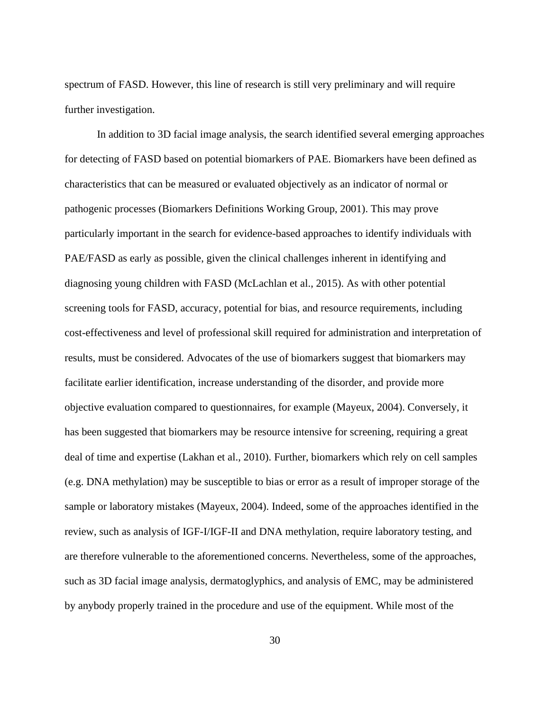spectrum of FASD. However, this line of research is still very preliminary and will require further investigation.

In addition to 3D facial image analysis, the search identified several emerging approaches for detecting of FASD based on potential biomarkers of PAE. Biomarkers have been defined as characteristics that can be measured or evaluated objectively as an indicator of normal or pathogenic processes (Biomarkers Definitions Working Group, 2001). This may prove particularly important in the search for evidence-based approaches to identify individuals with PAE/FASD as early as possible, given the clinical challenges inherent in identifying and diagnosing young children with FASD (McLachlan et al., 2015). As with other potential screening tools for FASD, accuracy, potential for bias, and resource requirements, including cost-effectiveness and level of professional skill required for administration and interpretation of results, must be considered. Advocates of the use of biomarkers suggest that biomarkers may facilitate earlier identification, increase understanding of the disorder, and provide more objective evaluation compared to questionnaires, for example (Mayeux, 2004). Conversely, it has been suggested that biomarkers may be resource intensive for screening, requiring a great deal of time and expertise (Lakhan et al., 2010). Further, biomarkers which rely on cell samples (e.g. DNA methylation) may be susceptible to bias or error as a result of improper storage of the sample or laboratory mistakes (Mayeux, 2004). Indeed, some of the approaches identified in the review, such as analysis of IGF-I/IGF-II and DNA methylation, require laboratory testing, and are therefore vulnerable to the aforementioned concerns. Nevertheless, some of the approaches, such as 3D facial image analysis, dermatoglyphics, and analysis of EMC, may be administered by anybody properly trained in the procedure and use of the equipment. While most of the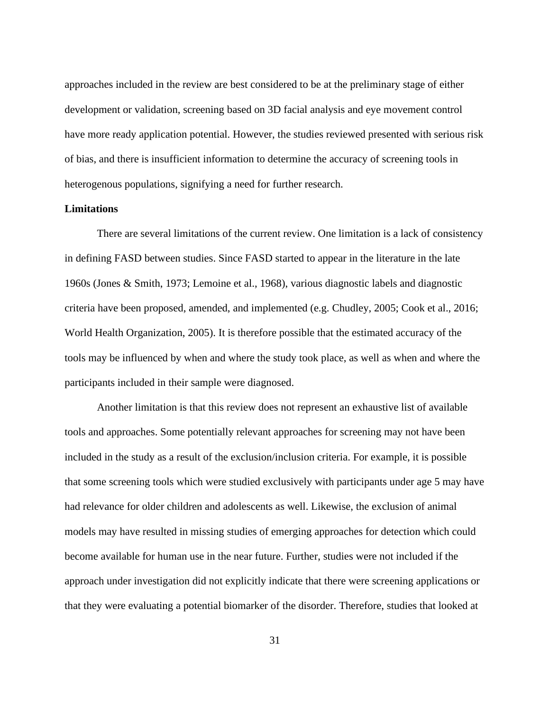approaches included in the review are best considered to be at the preliminary stage of either development or validation, screening based on 3D facial analysis and eye movement control have more ready application potential. However, the studies reviewed presented with serious risk of bias, and there is insufficient information to determine the accuracy of screening tools in heterogenous populations, signifying a need for further research.

#### <span id="page-37-0"></span>**Limitations**

There are several limitations of the current review. One limitation is a lack of consistency in defining FASD between studies. Since FASD started to appear in the literature in the late 1960s (Jones & Smith, 1973; Lemoine et al., 1968), various diagnostic labels and diagnostic criteria have been proposed, amended, and implemented (e.g. Chudley, 2005; Cook et al., 2016; World Health Organization, 2005). It is therefore possible that the estimated accuracy of the tools may be influenced by when and where the study took place, as well as when and where the participants included in their sample were diagnosed.

Another limitation is that this review does not represent an exhaustive list of available tools and approaches. Some potentially relevant approaches for screening may not have been included in the study as a result of the exclusion/inclusion criteria. For example, it is possible that some screening tools which were studied exclusively with participants under age 5 may have had relevance for older children and adolescents as well. Likewise, the exclusion of animal models may have resulted in missing studies of emerging approaches for detection which could become available for human use in the near future. Further, studies were not included if the approach under investigation did not explicitly indicate that there were screening applications or that they were evaluating a potential biomarker of the disorder. Therefore, studies that looked at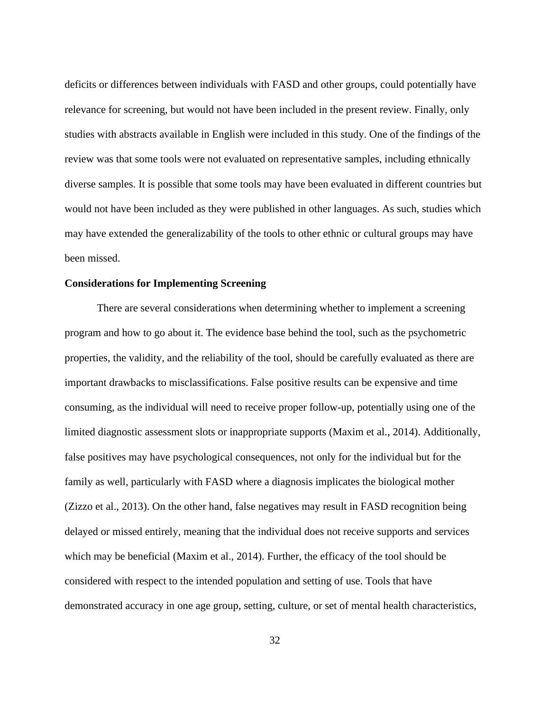deficits or differences between individuals with FASD and other groups, could potentially have relevance for screening, but would not have been included in the present review. Finally, only studies with abstracts available in English were included in this study. One of the findings of the review was that some tools were not evaluated on representative samples, including ethnically diverse samples. It is possible that some tools may have been evaluated in different countries but would not have been included as they were published in other languages. As such, studies which may have extended the generalizability of the tools to other ethnic or cultural groups may have been missed.

#### <span id="page-38-0"></span>**Considerations for Implementing Screening**

There are several considerations when determining whether to implement a screening program and how to go about it. The evidence base behind the tool, such as the psychometric properties, the validity, and the reliability of the tool, should be carefully evaluated as there are important drawbacks to misclassifications. False positive results can be expensive and time consuming, as the individual will need to receive proper follow-up, potentially using one of the limited diagnostic assessment slots or inappropriate supports (Maxim et al., 2014). Additionally, false positives may have psychological consequences, not only for the individual but for the family as well, particularly with FASD where a diagnosis implicates the biological mother (Zizzo et al., 2013). On the other hand, false negatives may result in FASD recognition being delayed or missed entirely, meaning that the individual does not receive supports and services which may be beneficial (Maxim et al., 2014). Further, the efficacy of the tool should be considered with respect to the intended population and setting of use. Tools that have demonstrated accuracy in one age group, setting, culture, or set of mental health characteristics,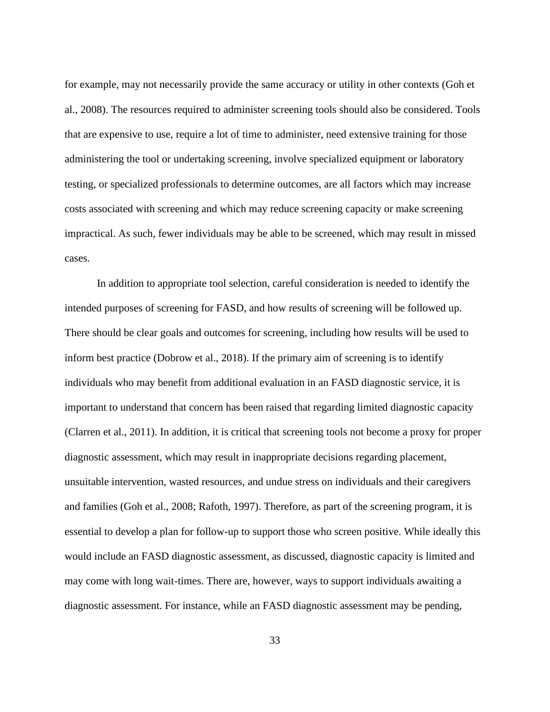for example, may not necessarily provide the same accuracy or utility in other contexts (Goh et al., 2008). The resources required to administer screening tools should also be considered. Tools that are expensive to use, require a lot of time to administer, need extensive training for those administering the tool or undertaking screening, involve specialized equipment or laboratory testing, or specialized professionals to determine outcomes, are all factors which may increase costs associated with screening and which may reduce screening capacity or make screening impractical. As such, fewer individuals may be able to be screened, which may result in missed cases.

In addition to appropriate tool selection, careful consideration is needed to identify the intended purposes of screening for FASD, and how results of screening will be followed up. There should be clear goals and outcomes for screening, including how results will be used to inform best practice (Dobrow et al., 2018). If the primary aim of screening is to identify individuals who may benefit from additional evaluation in an FASD diagnostic service, it is important to understand that concern has been raised that regarding limited diagnostic capacity (Clarren et al., 2011). In addition, it is critical that screening tools not become a proxy for proper diagnostic assessment, which may result in inappropriate decisions regarding placement, unsuitable intervention, wasted resources, and undue stress on individuals and their caregivers and families (Goh et al., 2008; Rafoth, 1997). Therefore, as part of the screening program, it is essential to develop a plan for follow-up to support those who screen positive. While ideally this would include an FASD diagnostic assessment, as discussed, diagnostic capacity is limited and may come with long wait-times. There are, however, ways to support individuals awaiting a diagnostic assessment. For instance, while an FASD diagnostic assessment may be pending,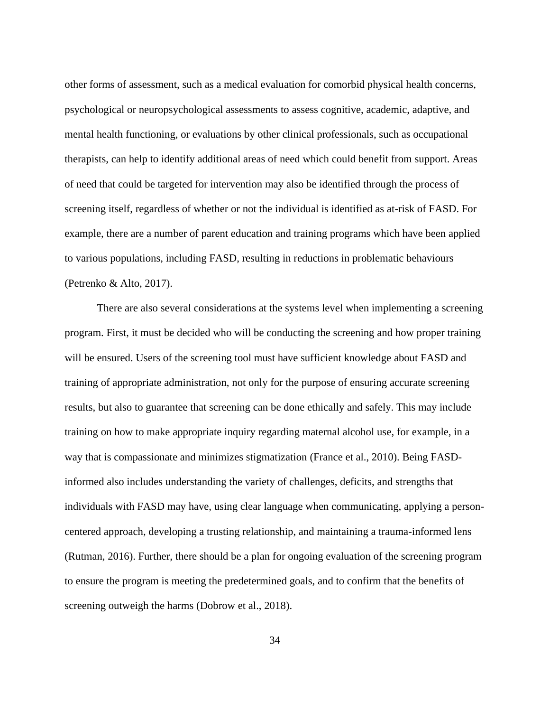other forms of assessment, such as a medical evaluation for comorbid physical health concerns, psychological or neuropsychological assessments to assess cognitive, academic, adaptive, and mental health functioning, or evaluations by other clinical professionals, such as occupational therapists, can help to identify additional areas of need which could benefit from support. Areas of need that could be targeted for intervention may also be identified through the process of screening itself, regardless of whether or not the individual is identified as at-risk of FASD. For example, there are a number of parent education and training programs which have been applied to various populations, including FASD, resulting in reductions in problematic behaviours (Petrenko & Alto, 2017).

There are also several considerations at the systems level when implementing a screening program. First, it must be decided who will be conducting the screening and how proper training will be ensured. Users of the screening tool must have sufficient knowledge about FASD and training of appropriate administration, not only for the purpose of ensuring accurate screening results, but also to guarantee that screening can be done ethically and safely. This may include training on how to make appropriate inquiry regarding maternal alcohol use, for example, in a way that is compassionate and minimizes stigmatization (France et al., 2010). Being FASDinformed also includes understanding the variety of challenges, deficits, and strengths that individuals with FASD may have, using clear language when communicating, applying a personcentered approach, developing a trusting relationship, and maintaining a trauma-informed lens (Rutman, 2016). Further, there should be a plan for ongoing evaluation of the screening program to ensure the program is meeting the predetermined goals, and to confirm that the benefits of screening outweigh the harms (Dobrow et al., 2018).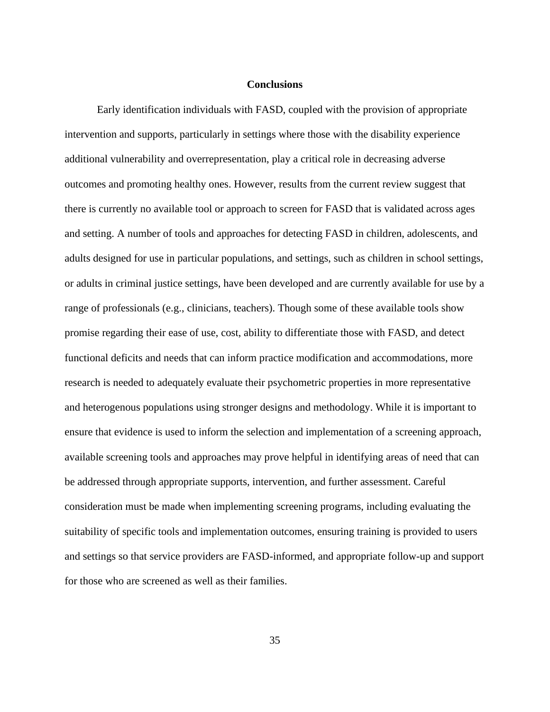#### **Conclusions**

<span id="page-41-0"></span>Early identification individuals with FASD, coupled with the provision of appropriate intervention and supports, particularly in settings where those with the disability experience additional vulnerability and overrepresentation, play a critical role in decreasing adverse outcomes and promoting healthy ones. However, results from the current review suggest that there is currently no available tool or approach to screen for FASD that is validated across ages and setting. A number of tools and approaches for detecting FASD in children, adolescents, and adults designed for use in particular populations, and settings, such as children in school settings, or adults in criminal justice settings, have been developed and are currently available for use by a range of professionals (e.g., clinicians, teachers). Though some of these available tools show promise regarding their ease of use, cost, ability to differentiate those with FASD, and detect functional deficits and needs that can inform practice modification and accommodations, more research is needed to adequately evaluate their psychometric properties in more representative and heterogenous populations using stronger designs and methodology. While it is important to ensure that evidence is used to inform the selection and implementation of a screening approach, available screening tools and approaches may prove helpful in identifying areas of need that can be addressed through appropriate supports, intervention, and further assessment. Careful consideration must be made when implementing screening programs, including evaluating the suitability of specific tools and implementation outcomes, ensuring training is provided to users and settings so that service providers are FASD-informed, and appropriate follow-up and support for those who are screened as well as their families.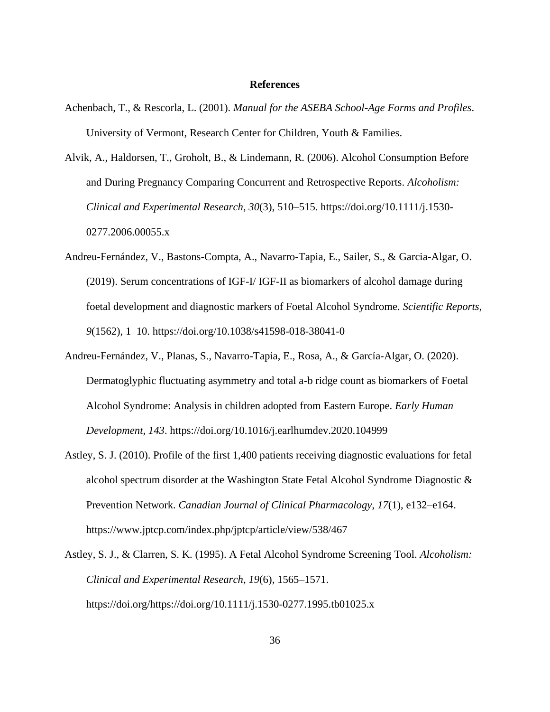#### **References**

- <span id="page-42-0"></span>Achenbach, T., & Rescorla, L. (2001). *Manual for the ASEBA School-Age Forms and Profiles*. University of Vermont, Research Center for Children, Youth & Families.
- Alvik, A., Haldorsen, T., Groholt, B., & Lindemann, R. (2006). Alcohol Consumption Before and During Pregnancy Comparing Concurrent and Retrospective Reports. *Alcoholism: Clinical and Experimental Research*, *30*(3), 510–515. https://doi.org/10.1111/j.1530- 0277.2006.00055.x
- Andreu-Fernández, V., Bastons-Compta, A., Navarro-Tapia, E., Sailer, S., & Garcia-Algar, O. (2019). Serum concentrations of IGF-I/ IGF-II as biomarkers of alcohol damage during foetal development and diagnostic markers of Foetal Alcohol Syndrome. *Scientific Reports*, *9*(1562), 1–10. https://doi.org/10.1038/s41598-018-38041-0
- Andreu-Fernández, V., Planas, S., Navarro-Tapia, E., Rosa, A., & García-Algar, O. (2020). Dermatoglyphic fluctuating asymmetry and total a-b ridge count as biomarkers of Foetal Alcohol Syndrome: Analysis in children adopted from Eastern Europe. *Early Human Development*, *143*. https://doi.org/10.1016/j.earlhumdev.2020.104999
- Astley, S. J. (2010). Profile of the first 1,400 patients receiving diagnostic evaluations for fetal alcohol spectrum disorder at the Washington State Fetal Alcohol Syndrome Diagnostic & Prevention Network. *Canadian Journal of Clinical Pharmacology*, *17*(1), e132–e164. https://www.jptcp.com/index.php/jptcp/article/view/538/467
- Astley, S. J., & Clarren, S. K. (1995). A Fetal Alcohol Syndrome Screening Tool. *Alcoholism: Clinical and Experimental Research*, *19*(6), 1565–1571. https://doi.org/https://doi.org/10.1111/j.1530-0277.1995.tb01025.x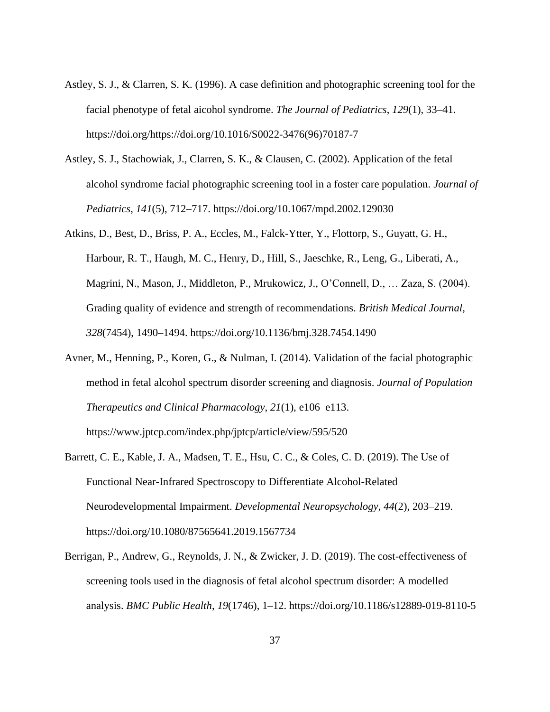- Astley, S. J., & Clarren, S. K. (1996). A case definition and photographic screening tool for the facial phenotype of fetal aicohol syndrome. *The Journal of Pediatrics*, *129*(1), 33–41. https://doi.org/https://doi.org/10.1016/S0022-3476(96)70187-7
- Astley, S. J., Stachowiak, J., Clarren, S. K., & Clausen, C. (2002). Application of the fetal alcohol syndrome facial photographic screening tool in a foster care population. *Journal of Pediatrics*, *141*(5), 712–717. https://doi.org/10.1067/mpd.2002.129030
- Atkins, D., Best, D., Briss, P. A., Eccles, M., Falck-Ytter, Y., Flottorp, S., Guyatt, G. H., Harbour, R. T., Haugh, M. C., Henry, D., Hill, S., Jaeschke, R., Leng, G., Liberati, A., Magrini, N., Mason, J., Middleton, P., Mrukowicz, J., O'Connell, D., … Zaza, S. (2004). Grading quality of evidence and strength of recommendations. *British Medical Journal*, *328*(7454), 1490–1494. https://doi.org/10.1136/bmj.328.7454.1490
- Avner, M., Henning, P., Koren, G., & Nulman, I. (2014). Validation of the facial photographic method in fetal alcohol spectrum disorder screening and diagnosis. *Journal of Population Therapeutics and Clinical Pharmacology*, *21*(1), e106–e113. https://www.jptcp.com/index.php/jptcp/article/view/595/520
- Barrett, C. E., Kable, J. A., Madsen, T. E., Hsu, C. C., & Coles, C. D. (2019). The Use of Functional Near-Infrared Spectroscopy to Differentiate Alcohol-Related Neurodevelopmental Impairment. *Developmental Neuropsychology*, *44*(2), 203–219. https://doi.org/10.1080/87565641.2019.1567734
- Berrigan, P., Andrew, G., Reynolds, J. N., & Zwicker, J. D. (2019). The cost-effectiveness of screening tools used in the diagnosis of fetal alcohol spectrum disorder: A modelled analysis. *BMC Public Health*, *19*(1746), 1–12. https://doi.org/10.1186/s12889-019-8110-5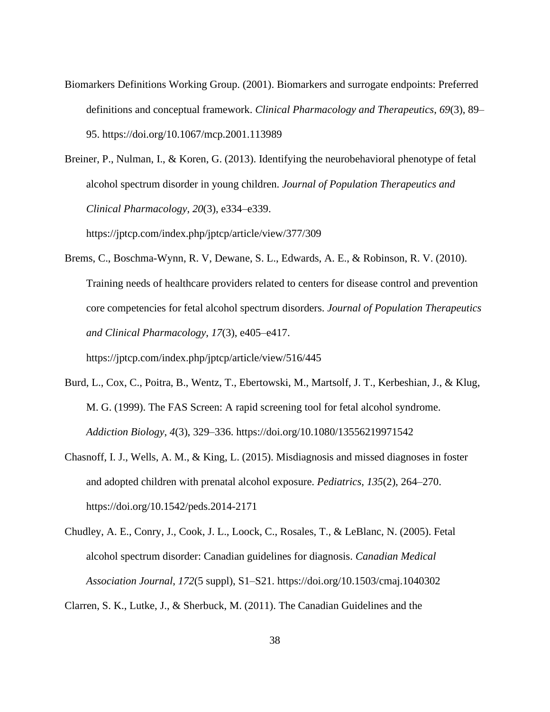Biomarkers Definitions Working Group. (2001). Biomarkers and surrogate endpoints: Preferred definitions and conceptual framework. *Clinical Pharmacology and Therapeutics*, *69*(3), 89– 95. https://doi.org/10.1067/mcp.2001.113989

Breiner, P., Nulman, I., & Koren, G. (2013). Identifying the neurobehavioral phenotype of fetal alcohol spectrum disorder in young children. *Journal of Population Therapeutics and Clinical Pharmacology*, *20*(3), e334–e339.

https://jptcp.com/index.php/jptcp/article/view/377/309

Brems, C., Boschma-Wynn, R. V, Dewane, S. L., Edwards, A. E., & Robinson, R. V. (2010). Training needs of healthcare providers related to centers for disease control and prevention core competencies for fetal alcohol spectrum disorders. *Journal of Population Therapeutics and Clinical Pharmacology*, *17*(3), e405–e417.

https://jptcp.com/index.php/jptcp/article/view/516/445

- Burd, L., Cox, C., Poitra, B., Wentz, T., Ebertowski, M., Martsolf, J. T., Kerbeshian, J., & Klug, M. G. (1999). The FAS Screen: A rapid screening tool for fetal alcohol syndrome. *Addiction Biology*, *4*(3), 329–336. https://doi.org/10.1080/13556219971542
- Chasnoff, I. J., Wells, A. M., & King, L. (2015). Misdiagnosis and missed diagnoses in foster and adopted children with prenatal alcohol exposure. *Pediatrics*, *135*(2), 264–270. https://doi.org/10.1542/peds.2014-2171
- Chudley, A. E., Conry, J., Cook, J. L., Loock, C., Rosales, T., & LeBlanc, N. (2005). Fetal alcohol spectrum disorder: Canadian guidelines for diagnosis. *Canadian Medical Association Journal*, *172*(5 suppl), S1–S21. https://doi.org/10.1503/cmaj.1040302

Clarren, S. K., Lutke, J., & Sherbuck, M. (2011). The Canadian Guidelines and the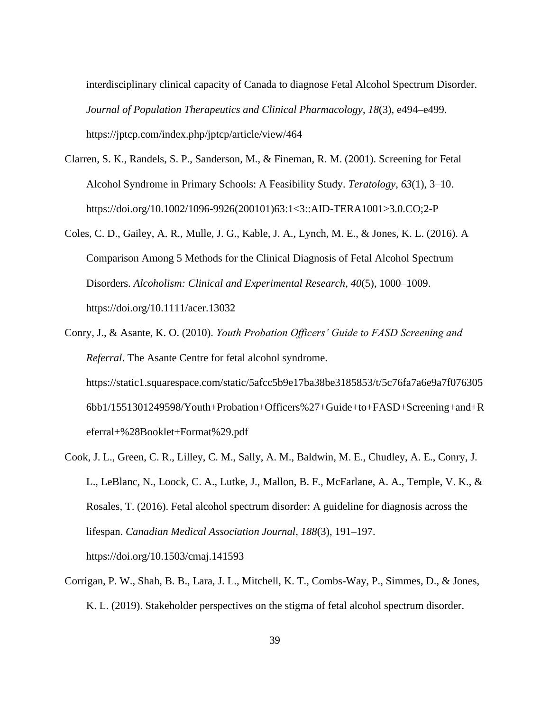interdisciplinary clinical capacity of Canada to diagnose Fetal Alcohol Spectrum Disorder. *Journal of Population Therapeutics and Clinical Pharmacology*, *18*(3), e494–e499. https://jptcp.com/index.php/jptcp/article/view/464

- Clarren, S. K., Randels, S. P., Sanderson, M., & Fineman, R. M. (2001). Screening for Fetal Alcohol Syndrome in Primary Schools: A Feasibility Study. *Teratology*, *63*(1), 3–10. https://doi.org/10.1002/1096-9926(200101)63:1<3::AID-TERA1001>3.0.CO;2-P
- Coles, C. D., Gailey, A. R., Mulle, J. G., Kable, J. A., Lynch, M. E., & Jones, K. L. (2016). A Comparison Among 5 Methods for the Clinical Diagnosis of Fetal Alcohol Spectrum Disorders. *Alcoholism: Clinical and Experimental Research*, *40*(5), 1000–1009. https://doi.org/10.1111/acer.13032
- Conry, J., & Asante, K. O. (2010). *Youth Probation Officers' Guide to FASD Screening and Referral*. The Asante Centre for fetal alcohol syndrome. https://static1.squarespace.com/static/5afcc5b9e17ba38be3185853/t/5c76fa7a6e9a7f076305 6bb1/1551301249598/Youth+Probation+Officers%27+Guide+to+FASD+Screening+and+R eferral+%28Booklet+Format%29.pdf
- Cook, J. L., Green, C. R., Lilley, C. M., Sally, A. M., Baldwin, M. E., Chudley, A. E., Conry, J. L., LeBlanc, N., Loock, C. A., Lutke, J., Mallon, B. F., McFarlane, A. A., Temple, V. K., & Rosales, T. (2016). Fetal alcohol spectrum disorder: A guideline for diagnosis across the lifespan. *Canadian Medical Association Journal*, *188*(3), 191–197. https://doi.org/10.1503/cmaj.141593
- Corrigan, P. W., Shah, B. B., Lara, J. L., Mitchell, K. T., Combs-Way, P., Simmes, D., & Jones, K. L. (2019). Stakeholder perspectives on the stigma of fetal alcohol spectrum disorder.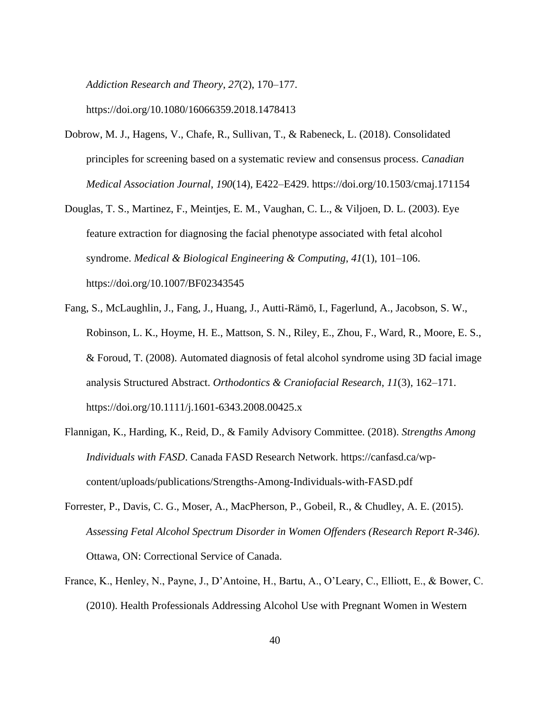*Addiction Research and Theory*, *27*(2), 170–177.

https://doi.org/10.1080/16066359.2018.1478413

- Dobrow, M. J., Hagens, V., Chafe, R., Sullivan, T., & Rabeneck, L. (2018). Consolidated principles for screening based on a systematic review and consensus process. *Canadian Medical Association Journal*, *190*(14), E422–E429. https://doi.org/10.1503/cmaj.171154
- Douglas, T. S., Martinez, F., Meintjes, E. M., Vaughan, C. L., & Viljoen, D. L. (2003). Eye feature extraction for diagnosing the facial phenotype associated with fetal alcohol syndrome. *Medical & Biological Engineering & Computing*, *41*(1), 101–106. https://doi.org/10.1007/BF02343545
- Fang, S., McLaughlin, J., Fang, J., Huang, J., Autti-Rämö, I., Fagerlund, A., Jacobson, S. W., Robinson, L. K., Hoyme, H. E., Mattson, S. N., Riley, E., Zhou, F., Ward, R., Moore, E. S., & Foroud, T. (2008). Automated diagnosis of fetal alcohol syndrome using 3D facial image analysis Structured Abstract. *Orthodontics & Craniofacial Research*, *11*(3), 162–171. https://doi.org/10.1111/j.1601-6343.2008.00425.x
- Flannigan, K., Harding, K., Reid, D., & Family Advisory Committee. (2018). *Strengths Among Individuals with FASD*. Canada FASD Research Network. https://canfasd.ca/wpcontent/uploads/publications/Strengths-Among-Individuals-with-FASD.pdf
- Forrester, P., Davis, C. G., Moser, A., MacPherson, P., Gobeil, R., & Chudley, A. E. (2015). *Assessing Fetal Alcohol Spectrum Disorder in Women Offenders (Research Report R-346)*. Ottawa, ON: Correctional Service of Canada.
- France, K., Henley, N., Payne, J., D'Antoine, H., Bartu, A., O'Leary, C., Elliott, E., & Bower, C. (2010). Health Professionals Addressing Alcohol Use with Pregnant Women in Western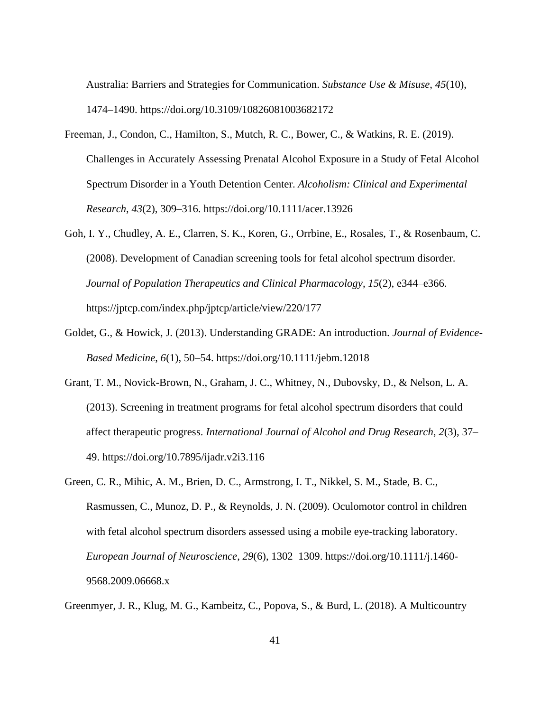Australia: Barriers and Strategies for Communication. *Substance Use & Misuse*, *45*(10), 1474–1490. https://doi.org/10.3109/10826081003682172

- Freeman, J., Condon, C., Hamilton, S., Mutch, R. C., Bower, C., & Watkins, R. E. (2019). Challenges in Accurately Assessing Prenatal Alcohol Exposure in a Study of Fetal Alcohol Spectrum Disorder in a Youth Detention Center. *Alcoholism: Clinical and Experimental Research*, *43*(2), 309–316. https://doi.org/10.1111/acer.13926
- Goh, I. Y., Chudley, A. E., Clarren, S. K., Koren, G., Orrbine, E., Rosales, T., & Rosenbaum, C. (2008). Development of Canadian screening tools for fetal alcohol spectrum disorder. *Journal of Population Therapeutics and Clinical Pharmacology*, *15*(2), e344–e366. https://jptcp.com/index.php/jptcp/article/view/220/177
- Goldet, G., & Howick, J. (2013). Understanding GRADE: An introduction. *Journal of Evidence-Based Medicine*, *6*(1), 50–54. https://doi.org/10.1111/jebm.12018
- Grant, T. M., Novick-Brown, N., Graham, J. C., Whitney, N., Dubovsky, D., & Nelson, L. A. (2013). Screening in treatment programs for fetal alcohol spectrum disorders that could affect therapeutic progress. *International Journal of Alcohol and Drug Research*, *2*(3), 37– 49. https://doi.org/10.7895/ijadr.v2i3.116
- Green, C. R., Mihic, A. M., Brien, D. C., Armstrong, I. T., Nikkel, S. M., Stade, B. C., Rasmussen, C., Munoz, D. P., & Reynolds, J. N. (2009). Oculomotor control in children with fetal alcohol spectrum disorders assessed using a mobile eye-tracking laboratory. *European Journal of Neuroscience*, *29*(6), 1302–1309. https://doi.org/10.1111/j.1460- 9568.2009.06668.x

Greenmyer, J. R., Klug, M. G., Kambeitz, C., Popova, S., & Burd, L. (2018). A Multicountry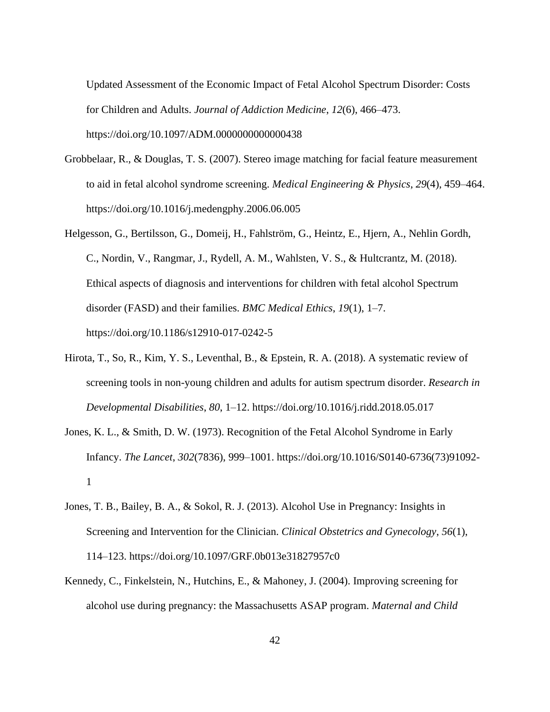Updated Assessment of the Economic Impact of Fetal Alcohol Spectrum Disorder: Costs for Children and Adults. *Journal of Addiction Medicine*, *12*(6), 466–473. https://doi.org/10.1097/ADM.0000000000000438

- Grobbelaar, R., & Douglas, T. S. (2007). Stereo image matching for facial feature measurement to aid in fetal alcohol syndrome screening. *Medical Engineering & Physics*, *29*(4), 459–464. https://doi.org/10.1016/j.medengphy.2006.06.005
- Helgesson, G., Bertilsson, G., Domeij, H., Fahlström, G., Heintz, E., Hjern, A., Nehlin Gordh, C., Nordin, V., Rangmar, J., Rydell, A. M., Wahlsten, V. S., & Hultcrantz, M. (2018). Ethical aspects of diagnosis and interventions for children with fetal alcohol Spectrum disorder (FASD) and their families. *BMC Medical Ethics*, *19*(1), 1–7. https://doi.org/10.1186/s12910-017-0242-5
- Hirota, T., So, R., Kim, Y. S., Leventhal, B., & Epstein, R. A. (2018). A systematic review of screening tools in non-young children and adults for autism spectrum disorder. *Research in Developmental Disabilities*, *80*, 1–12. https://doi.org/10.1016/j.ridd.2018.05.017
- Jones, K. L., & Smith, D. W. (1973). Recognition of the Fetal Alcohol Syndrome in Early Infancy. *The Lancet*, *302*(7836), 999–1001. https://doi.org/10.1016/S0140-6736(73)91092- 1
- Jones, T. B., Bailey, B. A., & Sokol, R. J. (2013). Alcohol Use in Pregnancy: Insights in Screening and Intervention for the Clinician. *Clinical Obstetrics and Gynecology*, *56*(1), 114–123. https://doi.org/10.1097/GRF.0b013e31827957c0
- Kennedy, C., Finkelstein, N., Hutchins, E., & Mahoney, J. (2004). Improving screening for alcohol use during pregnancy: the Massachusetts ASAP program. *Maternal and Child*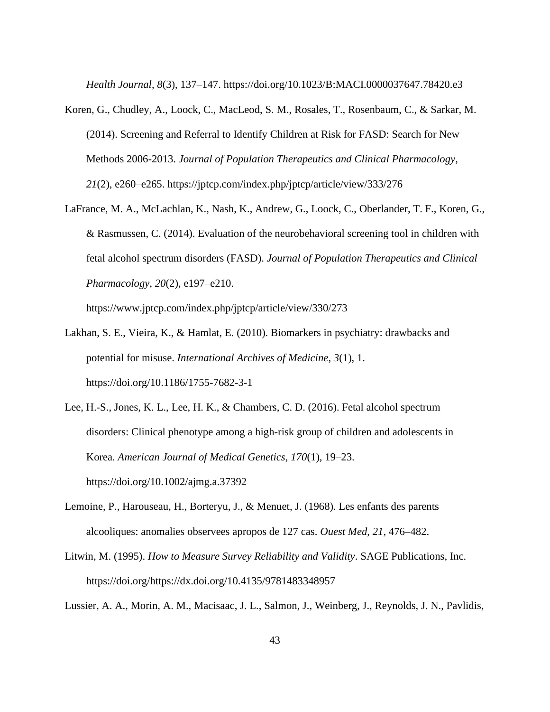*Health Journal*, *8*(3), 137–147. https://doi.org/10.1023/B:MACI.0000037647.78420.e3

- Koren, G., Chudley, A., Loock, C., MacLeod, S. M., Rosales, T., Rosenbaum, C., & Sarkar, M. (2014). Screening and Referral to Identify Children at Risk for FASD: Search for New Methods 2006-2013. *Journal of Population Therapeutics and Clinical Pharmacology*, *21*(2), e260–e265. https://jptcp.com/index.php/jptcp/article/view/333/276
- LaFrance, M. A., McLachlan, K., Nash, K., Andrew, G., Loock, C., Oberlander, T. F., Koren, G., & Rasmussen, C. (2014). Evaluation of the neurobehavioral screening tool in children with fetal alcohol spectrum disorders (FASD). *Journal of Population Therapeutics and Clinical Pharmacology*, *20*(2), e197–e210.

https://www.jptcp.com/index.php/jptcp/article/view/330/273

- Lakhan, S. E., Vieira, K., & Hamlat, E. (2010). Biomarkers in psychiatry: drawbacks and potential for misuse. *International Archives of Medicine*, *3*(1), 1. https://doi.org/10.1186/1755-7682-3-1
- Lee, H.-S., Jones, K. L., Lee, H. K., & Chambers, C. D. (2016). Fetal alcohol spectrum disorders: Clinical phenotype among a high-risk group of children and adolescents in Korea. *American Journal of Medical Genetics*, *170*(1), 19–23. https://doi.org/10.1002/ajmg.a.37392
- Lemoine, P., Harouseau, H., Borteryu, J., & Menuet, J. (1968). Les enfants des parents alcooliques: anomalies observees apropos de 127 cas. *Ouest Med*, *21*, 476–482.
- Litwin, M. (1995). *How to Measure Survey Reliability and Validity*. SAGE Publications, Inc. https://doi.org/https://dx.doi.org/10.4135/9781483348957

Lussier, A. A., Morin, A. M., Macisaac, J. L., Salmon, J., Weinberg, J., Reynolds, J. N., Pavlidis,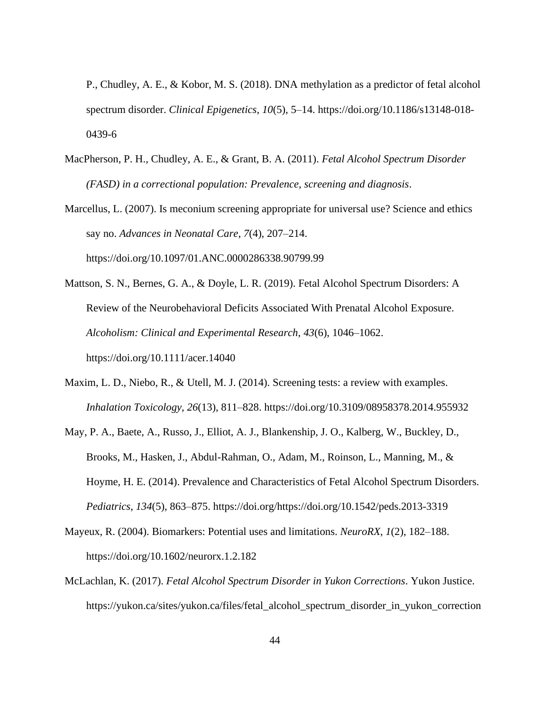P., Chudley, A. E., & Kobor, M. S. (2018). DNA methylation as a predictor of fetal alcohol spectrum disorder. *Clinical Epigenetics*, *10*(5), 5–14. https://doi.org/10.1186/s13148-018- 0439-6

- MacPherson, P. H., Chudley, A. E., & Grant, B. A. (2011). *Fetal Alcohol Spectrum Disorder (FASD) in a correctional population: Prevalence, screening and diagnosis*.
- Marcellus, L. (2007). Is meconium screening appropriate for universal use? Science and ethics say no. *Advances in Neonatal Care*, *7*(4), 207–214. https://doi.org/10.1097/01.ANC.0000286338.90799.99

Mattson, S. N., Bernes, G. A., & Doyle, L. R. (2019). Fetal Alcohol Spectrum Disorders: A Review of the Neurobehavioral Deficits Associated With Prenatal Alcohol Exposure. *Alcoholism: Clinical and Experimental Research*, *43*(6), 1046–1062. https://doi.org/10.1111/acer.14040

- Maxim, L. D., Niebo, R., & Utell, M. J. (2014). Screening tests: a review with examples. *Inhalation Toxicology*, *26*(13), 811–828. https://doi.org/10.3109/08958378.2014.955932
- May, P. A., Baete, A., Russo, J., Elliot, A. J., Blankenship, J. O., Kalberg, W., Buckley, D., Brooks, M., Hasken, J., Abdul-Rahman, O., Adam, M., Roinson, L., Manning, M., & Hoyme, H. E. (2014). Prevalence and Characteristics of Fetal Alcohol Spectrum Disorders. *Pediatrics*, *134*(5), 863–875. https://doi.org/https://doi.org/10.1542/peds.2013-3319
- Mayeux, R. (2004). Biomarkers: Potential uses and limitations. *NeuroRX*, *1*(2), 182–188. https://doi.org/10.1602/neurorx.1.2.182
- McLachlan, K. (2017). *Fetal Alcohol Spectrum Disorder in Yukon Corrections*. Yukon Justice. https://yukon.ca/sites/yukon.ca/files/fetal\_alcohol\_spectrum\_disorder\_in\_yukon\_correction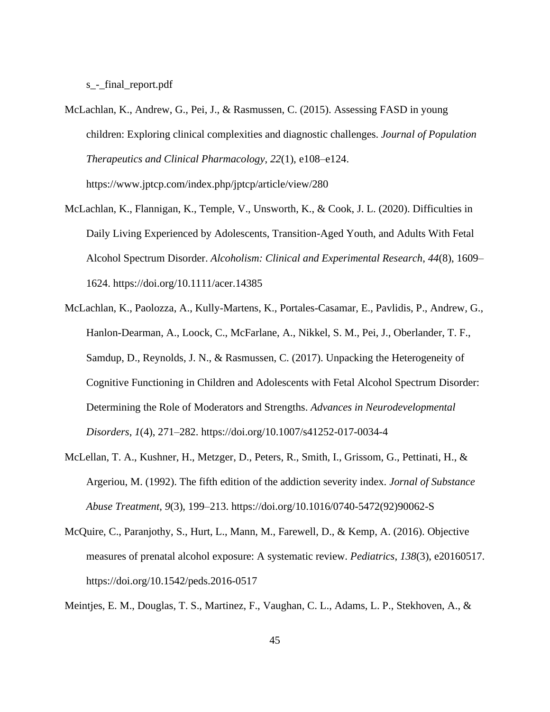s - final report.pdf

- McLachlan, K., Andrew, G., Pei, J., & Rasmussen, C. (2015). Assessing FASD in young children: Exploring clinical complexities and diagnostic challenges. *Journal of Population Therapeutics and Clinical Pharmacology*, *22*(1), e108–e124. https://www.jptcp.com/index.php/jptcp/article/view/280
- McLachlan, K., Flannigan, K., Temple, V., Unsworth, K., & Cook, J. L. (2020). Difficulties in Daily Living Experienced by Adolescents, Transition-Aged Youth, and Adults With Fetal Alcohol Spectrum Disorder. *Alcoholism: Clinical and Experimental Research*, *44*(8), 1609– 1624. https://doi.org/10.1111/acer.14385
- McLachlan, K., Paolozza, A., Kully-Martens, K., Portales-Casamar, E., Pavlidis, P., Andrew, G., Hanlon-Dearman, A., Loock, C., McFarlane, A., Nikkel, S. M., Pei, J., Oberlander, T. F., Samdup, D., Reynolds, J. N., & Rasmussen, C. (2017). Unpacking the Heterogeneity of Cognitive Functioning in Children and Adolescents with Fetal Alcohol Spectrum Disorder: Determining the Role of Moderators and Strengths. *Advances in Neurodevelopmental Disorders*, *1*(4), 271–282. https://doi.org/10.1007/s41252-017-0034-4
- McLellan, T. A., Kushner, H., Metzger, D., Peters, R., Smith, I., Grissom, G., Pettinati, H., & Argeriou, M. (1992). The fifth edition of the addiction severity index. *Jornal of Substance Abuse Treatment*, *9*(3), 199–213. https://doi.org/10.1016/0740-5472(92)90062-S
- McQuire, C., Paranjothy, S., Hurt, L., Mann, M., Farewell, D., & Kemp, A. (2016). Objective measures of prenatal alcohol exposure: A systematic review. *Pediatrics*, *138*(3), e20160517. https://doi.org/10.1542/peds.2016-0517

Meintjes, E. M., Douglas, T. S., Martinez, F., Vaughan, C. L., Adams, L. P., Stekhoven, A., &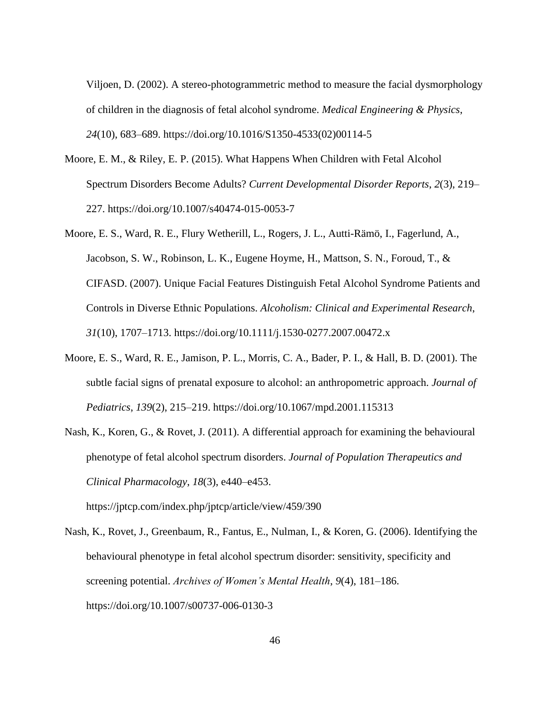Viljoen, D. (2002). A stereo-photogrammetric method to measure the facial dysmorphology of children in the diagnosis of fetal alcohol syndrome. *Medical Engineering & Physics*, *24*(10), 683–689. https://doi.org/10.1016/S1350-4533(02)00114-5

- Moore, E. M., & Riley, E. P. (2015). What Happens When Children with Fetal Alcohol Spectrum Disorders Become Adults? *Current Developmental Disorder Reports*, *2*(3), 219– 227. https://doi.org/10.1007/s40474-015-0053-7
- Moore, E. S., Ward, R. E., Flury Wetherill, L., Rogers, J. L., Autti-Rämö, I., Fagerlund, A., Jacobson, S. W., Robinson, L. K., Eugene Hoyme, H., Mattson, S. N., Foroud, T., & CIFASD. (2007). Unique Facial Features Distinguish Fetal Alcohol Syndrome Patients and Controls in Diverse Ethnic Populations. *Alcoholism: Clinical and Experimental Research*, *31*(10), 1707–1713. https://doi.org/10.1111/j.1530-0277.2007.00472.x
- Moore, E. S., Ward, R. E., Jamison, P. L., Morris, C. A., Bader, P. I., & Hall, B. D. (2001). The subtle facial signs of prenatal exposure to alcohol: an anthropometric approach. *Journal of Pediatrics*, *139*(2), 215–219. https://doi.org/10.1067/mpd.2001.115313
- Nash, K., Koren, G., & Rovet, J. (2011). A differential approach for examining the behavioural phenotype of fetal alcohol spectrum disorders. *Journal of Population Therapeutics and Clinical Pharmacology*, *18*(3), e440–e453.

https://jptcp.com/index.php/jptcp/article/view/459/390

Nash, K., Rovet, J., Greenbaum, R., Fantus, E., Nulman, I., & Koren, G. (2006). Identifying the behavioural phenotype in fetal alcohol spectrum disorder: sensitivity, specificity and screening potential. *Archives of Women's Mental Health*, *9*(4), 181–186. https://doi.org/10.1007/s00737-006-0130-3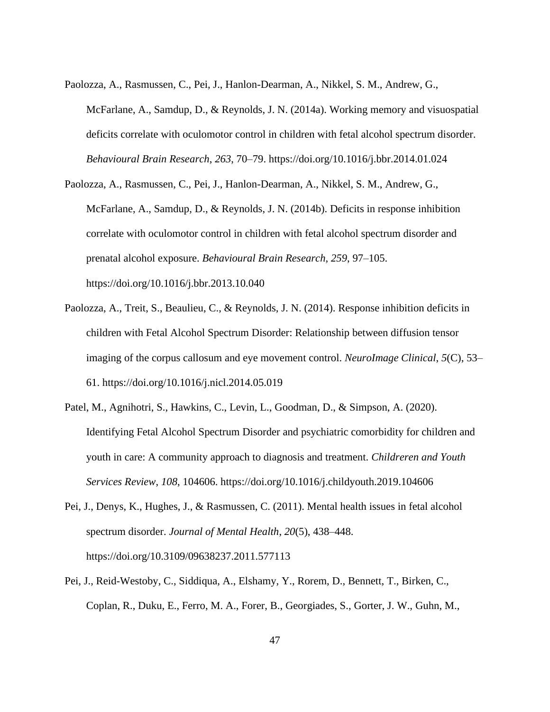- Paolozza, A., Rasmussen, C., Pei, J., Hanlon-Dearman, A., Nikkel, S. M., Andrew, G., McFarlane, A., Samdup, D., & Reynolds, J. N. (2014a). Working memory and visuospatial deficits correlate with oculomotor control in children with fetal alcohol spectrum disorder. *Behavioural Brain Research*, *263*, 70–79. https://doi.org/10.1016/j.bbr.2014.01.024
- Paolozza, A., Rasmussen, C., Pei, J., Hanlon-Dearman, A., Nikkel, S. M., Andrew, G., McFarlane, A., Samdup, D., & Reynolds, J. N. (2014b). Deficits in response inhibition correlate with oculomotor control in children with fetal alcohol spectrum disorder and prenatal alcohol exposure. *Behavioural Brain Research*, *259*, 97–105. https://doi.org/10.1016/j.bbr.2013.10.040
- Paolozza, A., Treit, S., Beaulieu, C., & Reynolds, J. N. (2014). Response inhibition deficits in children with Fetal Alcohol Spectrum Disorder: Relationship between diffusion tensor imaging of the corpus callosum and eye movement control. *NeuroImage Clinical*, *5*(C), 53– 61. https://doi.org/10.1016/j.nicl.2014.05.019
- Patel, M., Agnihotri, S., Hawkins, C., Levin, L., Goodman, D., & Simpson, A. (2020). Identifying Fetal Alcohol Spectrum Disorder and psychiatric comorbidity for children and youth in care: A community approach to diagnosis and treatment. *Childreren and Youth Services Review*, *108*, 104606. https://doi.org/10.1016/j.childyouth.2019.104606
- Pei, J., Denys, K., Hughes, J., & Rasmussen, C. (2011). Mental health issues in fetal alcohol spectrum disorder. *Journal of Mental Health*, *20*(5), 438–448. https://doi.org/10.3109/09638237.2011.577113
- Pei, J., Reid-Westoby, C., Siddiqua, A., Elshamy, Y., Rorem, D., Bennett, T., Birken, C., Coplan, R., Duku, E., Ferro, M. A., Forer, B., Georgiades, S., Gorter, J. W., Guhn, M.,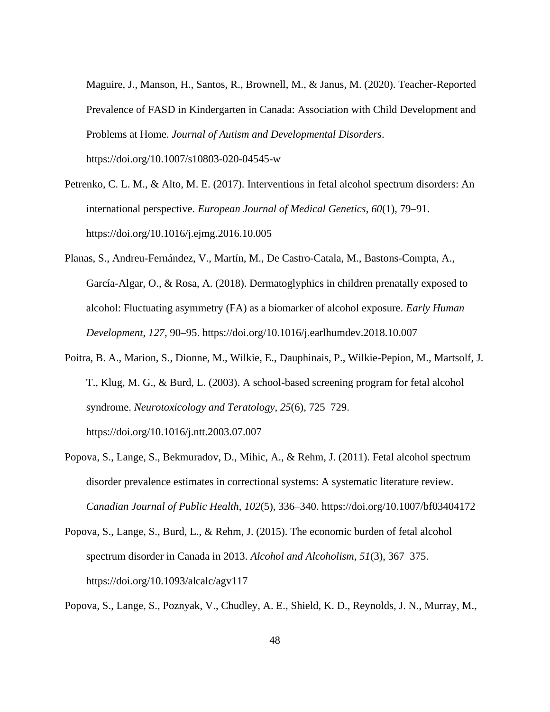Maguire, J., Manson, H., Santos, R., Brownell, M., & Janus, M. (2020). Teacher-Reported Prevalence of FASD in Kindergarten in Canada: Association with Child Development and Problems at Home. *Journal of Autism and Developmental Disorders*. https://doi.org/10.1007/s10803-020-04545-w

- Petrenko, C. L. M., & Alto, M. E. (2017). Interventions in fetal alcohol spectrum disorders: An international perspective. *European Journal of Medical Genetics*, *60*(1), 79–91. https://doi.org/10.1016/j.ejmg.2016.10.005
- Planas, S., Andreu-Fernández, V., Martín, M., De Castro-Catala, M., Bastons-Compta, A., García-Algar, O., & Rosa, A. (2018). Dermatoglyphics in children prenatally exposed to alcohol: Fluctuating asymmetry (FA) as a biomarker of alcohol exposure. *Early Human Development*, *127*, 90–95. https://doi.org/10.1016/j.earlhumdev.2018.10.007
- Poitra, B. A., Marion, S., Dionne, M., Wilkie, E., Dauphinais, P., Wilkie-Pepion, M., Martsolf, J. T., Klug, M. G., & Burd, L. (2003). A school-based screening program for fetal alcohol syndrome. *Neurotoxicology and Teratology*, *25*(6), 725–729. https://doi.org/10.1016/j.ntt.2003.07.007
- Popova, S., Lange, S., Bekmuradov, D., Mihic, A., & Rehm, J. (2011). Fetal alcohol spectrum disorder prevalence estimates in correctional systems: A systematic literature review. *Canadian Journal of Public Health*, *102*(5), 336–340. https://doi.org/10.1007/bf03404172
- Popova, S., Lange, S., Burd, L., & Rehm, J. (2015). The economic burden of fetal alcohol spectrum disorder in Canada in 2013. *Alcohol and Alcoholism*, *51*(3), 367–375. https://doi.org/10.1093/alcalc/agv117

Popova, S., Lange, S., Poznyak, V., Chudley, A. E., Shield, K. D., Reynolds, J. N., Murray, M.,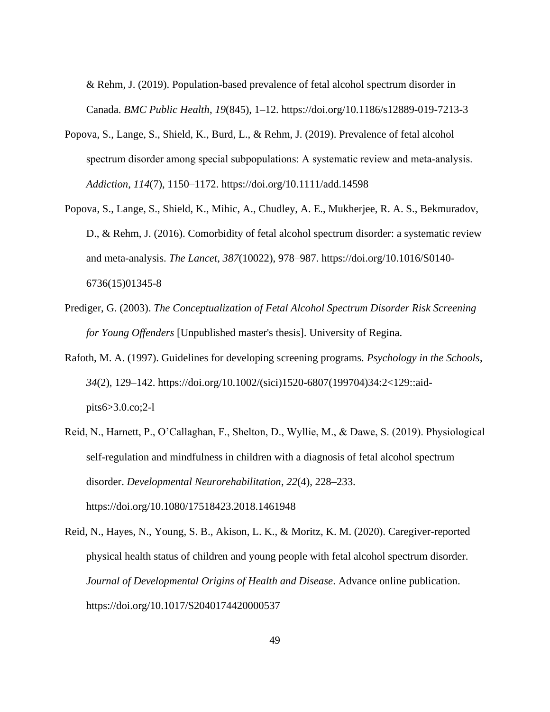& Rehm, J. (2019). Population-based prevalence of fetal alcohol spectrum disorder in Canada. *BMC Public Health*, *19*(845), 1–12. https://doi.org/10.1186/s12889-019-7213-3

- Popova, S., Lange, S., Shield, K., Burd, L., & Rehm, J. (2019). Prevalence of fetal alcohol spectrum disorder among special subpopulations: A systematic review and meta-analysis. *Addiction*, *114*(7), 1150–1172. https://doi.org/10.1111/add.14598
- Popova, S., Lange, S., Shield, K., Mihic, A., Chudley, A. E., Mukherjee, R. A. S., Bekmuradov, D., & Rehm, J. (2016). Comorbidity of fetal alcohol spectrum disorder: a systematic review and meta-analysis. *The Lancet*, *387*(10022), 978–987. https://doi.org/10.1016/S0140- 6736(15)01345-8
- Prediger, G. (2003). *The Conceptualization of Fetal Alcohol Spectrum Disorder Risk Screening for Young Offenders* [Unpublished master's thesis]. University of Regina.
- Rafoth, M. A. (1997). Guidelines for developing screening programs. *Psychology in the Schools*, *34*(2), 129–142. https://doi.org/10.1002/(sici)1520-6807(199704)34:2<129::aidpits6>3.0.co;2-l
- Reid, N., Harnett, P., O'Callaghan, F., Shelton, D., Wyllie, M., & Dawe, S. (2019). Physiological self-regulation and mindfulness in children with a diagnosis of fetal alcohol spectrum disorder. *Developmental Neurorehabilitation*, *22*(4), 228–233. https://doi.org/10.1080/17518423.2018.1461948
- Reid, N., Hayes, N., Young, S. B., Akison, L. K., & Moritz, K. M. (2020). Caregiver-reported physical health status of children and young people with fetal alcohol spectrum disorder. *Journal of Developmental Origins of Health and Disease*. Advance online publication. https://doi.org/10.1017/S2040174420000537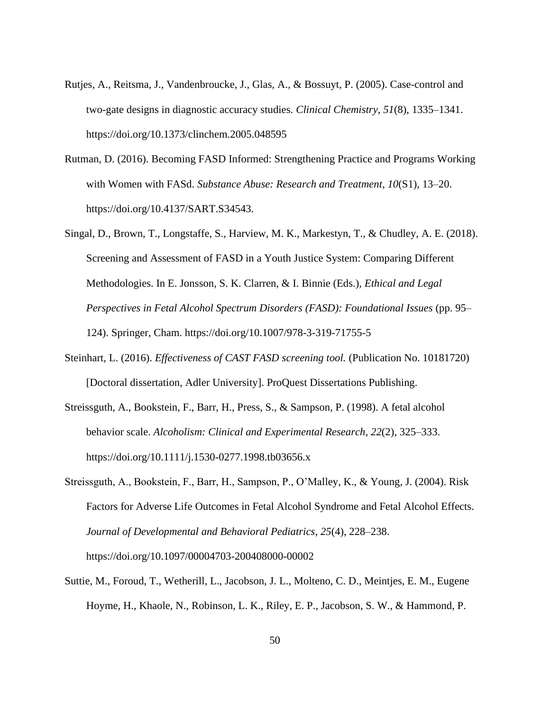- Rutjes, A., Reitsma, J., Vandenbroucke, J., Glas, A., & Bossuyt, P. (2005). Case-control and two-gate designs in diagnostic accuracy studies. *Clinical Chemistry*, *51*(8), 1335–1341. https://doi.org/10.1373/clinchem.2005.048595
- Rutman, D. (2016). Becoming FASD Informed: Strengthening Practice and Programs Working with Women with FASd. *Substance Abuse: Research and Treatment*, *10*(S1), 13–20. https://doi.org/10.4137/SART.S34543.
- Singal, D., Brown, T., Longstaffe, S., Harview, M. K., Markestyn, T., & Chudley, A. E. (2018). Screening and Assessment of FASD in a Youth Justice System: Comparing Different Methodologies. In E. Jonsson, S. K. Clarren, & I. Binnie (Eds.), *Ethical and Legal Perspectives in Fetal Alcohol Spectrum Disorders (FASD): Foundational Issues* (pp. 95– 124). Springer, Cham. https://doi.org/10.1007/978-3-319-71755-5
- Steinhart, L. (2016). *Effectiveness of CAST FASD screening tool.* (Publication No. 10181720) [Doctoral dissertation, Adler University]. ProQuest Dissertations Publishing.
- Streissguth, A., Bookstein, F., Barr, H., Press, S., & Sampson, P. (1998). A fetal alcohol behavior scale. *Alcoholism: Clinical and Experimental Research*, *22*(2), 325–333. https://doi.org/10.1111/j.1530-0277.1998.tb03656.x
- Streissguth, A., Bookstein, F., Barr, H., Sampson, P., O'Malley, K., & Young, J. (2004). Risk Factors for Adverse Life Outcomes in Fetal Alcohol Syndrome and Fetal Alcohol Effects. *Journal of Developmental and Behavioral Pediatrics*, *25*(4), 228–238. https://doi.org/10.1097/00004703-200408000-00002
- Suttie, M., Foroud, T., Wetherill, L., Jacobson, J. L., Molteno, C. D., Meintjes, E. M., Eugene Hoyme, H., Khaole, N., Robinson, L. K., Riley, E. P., Jacobson, S. W., & Hammond, P.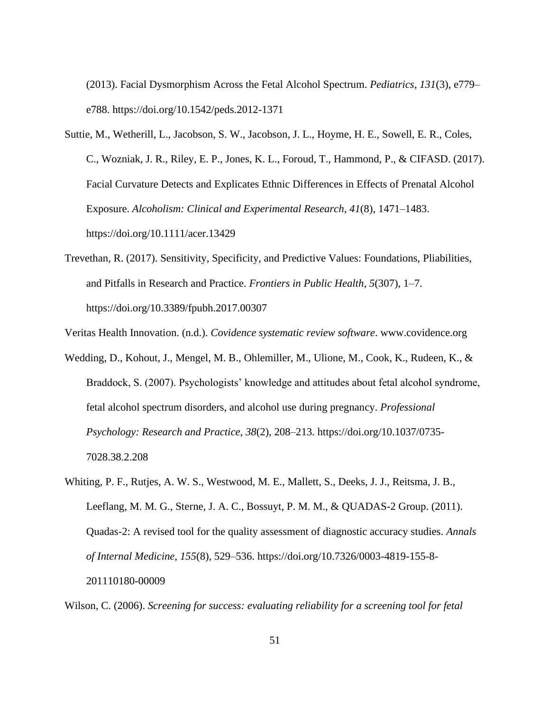(2013). Facial Dysmorphism Across the Fetal Alcohol Spectrum. *Pediatrics*, *131*(3), e779– e788. https://doi.org/10.1542/peds.2012-1371

- Suttie, M., Wetherill, L., Jacobson, S. W., Jacobson, J. L., Hoyme, H. E., Sowell, E. R., Coles, C., Wozniak, J. R., Riley, E. P., Jones, K. L., Foroud, T., Hammond, P., & CIFASD. (2017). Facial Curvature Detects and Explicates Ethnic Differences in Effects of Prenatal Alcohol Exposure. *Alcoholism: Clinical and Experimental Research*, *41*(8), 1471–1483. https://doi.org/10.1111/acer.13429
- Trevethan, R. (2017). Sensitivity, Specificity, and Predictive Values: Foundations, Pliabilities, and Pitfalls in Research and Practice. *Frontiers in Public Health*, *5*(307), 1–7. https://doi.org/10.3389/fpubh.2017.00307

Veritas Health Innovation. (n.d.). *Covidence systematic review software*. www.covidence.org

- Wedding, D., Kohout, J., Mengel, M. B., Ohlemiller, M., Ulione, M., Cook, K., Rudeen, K., & Braddock, S. (2007). Psychologists' knowledge and attitudes about fetal alcohol syndrome, fetal alcohol spectrum disorders, and alcohol use during pregnancy. *Professional Psychology: Research and Practice*, *38*(2), 208–213. https://doi.org/10.1037/0735- 7028.38.2.208
- Whiting, P. F., Rutjes, A. W. S., Westwood, M. E., Mallett, S., Deeks, J. J., Reitsma, J. B., Leeflang, M. M. G., Sterne, J. A. C., Bossuyt, P. M. M., & QUADAS-2 Group. (2011). Quadas-2: A revised tool for the quality assessment of diagnostic accuracy studies. *Annals of Internal Medicine*, *155*(8), 529–536. https://doi.org/10.7326/0003-4819-155-8- 201110180-00009

Wilson, C. (2006). *Screening for success: evaluating reliability for a screening tool for fetal*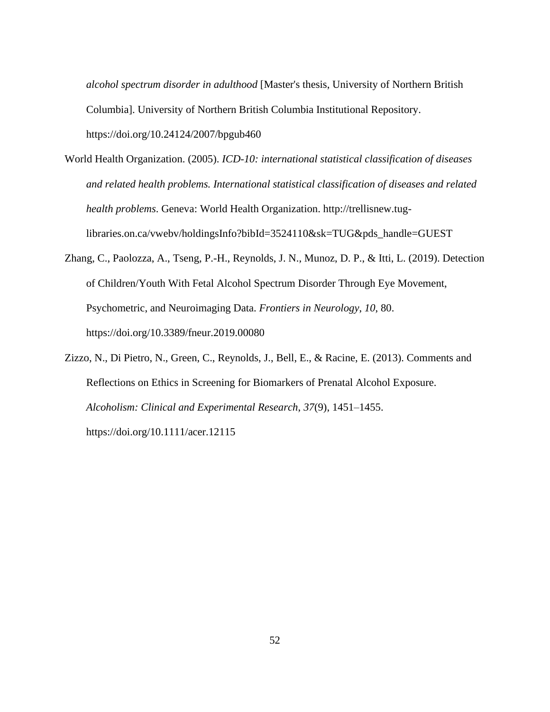*alcohol spectrum disorder in adulthood* [Master's thesis, University of Northern British Columbia]. University of Northern British Columbia Institutional Repository. https://doi.org/10.24124/2007/bpgub460

- World Health Organization. (2005). *ICD-10: international statistical classification of diseases and related health problems. International statistical classification of diseases and related health problems*. Geneva: World Health Organization. http://trellisnew.tuglibraries.on.ca/vwebv/holdingsInfo?bibId=3524110&sk=TUG&pds\_handle=GUEST
- Zhang, C., Paolozza, A., Tseng, P.-H., Reynolds, J. N., Munoz, D. P., & Itti, L. (2019). Detection of Children/Youth With Fetal Alcohol Spectrum Disorder Through Eye Movement, Psychometric, and Neuroimaging Data. *Frontiers in Neurology*, *10*, 80. https://doi.org/10.3389/fneur.2019.00080
- Zizzo, N., Di Pietro, N., Green, C., Reynolds, J., Bell, E., & Racine, E. (2013). Comments and Reflections on Ethics in Screening for Biomarkers of Prenatal Alcohol Exposure. *Alcoholism: Clinical and Experimental Research*, *37*(9), 1451–1455. https://doi.org/10.1111/acer.12115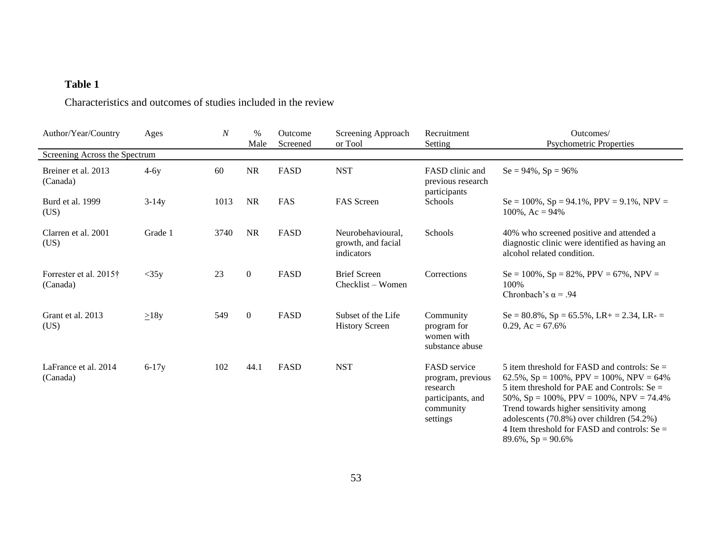### **Table 1**

Characteristics and outcomes of studies included in the review

<span id="page-59-0"></span>

| Author/Year/Country                | Ages       | $\boldsymbol{N}$ | $\%$<br>Male   | Outcome<br>Screened | Screening Approach<br>or Tool                         | Recruitment<br>Setting                                                                             | Outcomes/<br><b>Psychometric Properties</b>                                                                                                                                                                                                                                                                                                                                      |
|------------------------------------|------------|------------------|----------------|---------------------|-------------------------------------------------------|----------------------------------------------------------------------------------------------------|----------------------------------------------------------------------------------------------------------------------------------------------------------------------------------------------------------------------------------------------------------------------------------------------------------------------------------------------------------------------------------|
| Screening Across the Spectrum      |            |                  |                |                     |                                                       |                                                                                                    |                                                                                                                                                                                                                                                                                                                                                                                  |
| Breiner et al. 2013<br>(Canada)    | $4-6y$     | 60               | $\rm NR$       | <b>FASD</b>         | <b>NST</b>                                            | FASD clinic and<br>previous research<br>participants                                               | $Se = 94\%, Sp = 96\%$                                                                                                                                                                                                                                                                                                                                                           |
| Burd et al. 1999<br>(US)           | $3-14y$    | 1013             | <b>NR</b>      | FAS                 | <b>FAS</b> Screen                                     | Schools                                                                                            | $Se = 100\%$ , $Sp = 94.1\%$ , $PPV = 9.1\%$ , $NPV =$<br>$100\%$ , Ac = 94%                                                                                                                                                                                                                                                                                                     |
| Clarren et al. 2001<br>(US)        | Grade 1    | 3740             | <b>NR</b>      | FASD                | Neurobehavioural.<br>growth, and facial<br>indicators | Schools                                                                                            | 40% who screened positive and attended a<br>diagnostic clinic were identified as having an<br>alcohol related condition.                                                                                                                                                                                                                                                         |
| Forrester et al. 2015†<br>(Canada) | $<$ 35y    | 23               | $\overline{0}$ | FASD                | <b>Brief Screen</b><br>Checklist – Women              | Corrections                                                                                        | $Se = 100\%$ , $Sp = 82\%$ , $PPV = 67\%$ , $NPV =$<br>100%<br>Chronbach's $\alpha$ = .94                                                                                                                                                                                                                                                                                        |
| Grant et al. 2013<br>(US)          | $\geq$ 18y | 549              | $\mathbf{0}$   | FASD                | Subset of the Life<br><b>History Screen</b>           | Community<br>program for<br>women with<br>substance abuse                                          | $Se = 80.8\%$ , $Sp = 65.5\%$ , $LR + = 2.34$ , $LR - =$<br>0.29, Ac = $67.6\%$                                                                                                                                                                                                                                                                                                  |
| LaFrance et al. 2014<br>(Canada)   | $6-17y$    | 102              | 44.1           | FASD                | <b>NST</b>                                            | <b>FASD</b> service<br>program, previous<br>research<br>participants, and<br>community<br>settings | 5 item threshold for FASD and controls: $Se =$<br>62.5%, $Sp = 100\%$ , $PPV = 100\%$ , $NPV = 64\%$<br>5 item threshold for PAE and Controls: $Se =$<br>50%, $Sp = 100\%$ , $PPV = 100\%$ , $NPV = 74.4\%$<br>Trend towards higher sensitivity among<br>adolescents (70.8%) over children (54.2%)<br>4 Item threshold for FASD and controls: $Se =$<br>$89.6\%$ , $Sp = 90.6\%$ |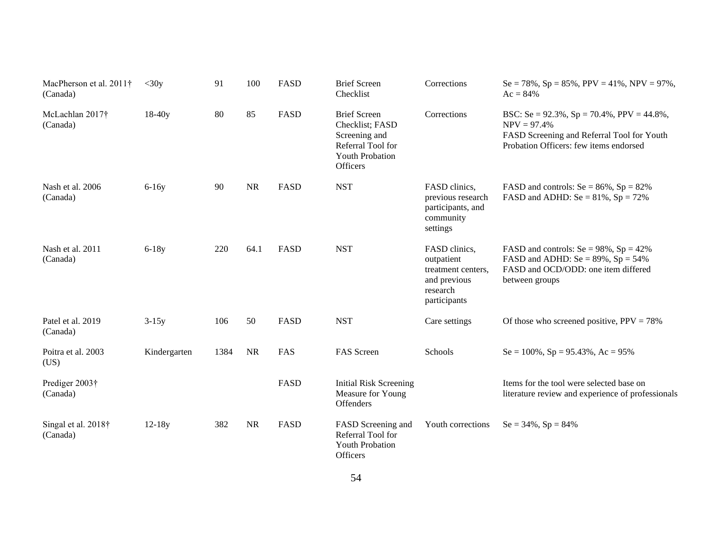| MacPherson et al. 2011†<br>(Canada) | $<$ 30y      | 91   | 100       | <b>FASD</b> | <b>Brief Screen</b><br>Checklist                                                                                          | Corrections                                                                                   | Se = 78%, Sp = 85%, PPV = 41%, NPV = 97%,<br>$Ac = 84\%$                                                                                                       |
|-------------------------------------|--------------|------|-----------|-------------|---------------------------------------------------------------------------------------------------------------------------|-----------------------------------------------------------------------------------------------|----------------------------------------------------------------------------------------------------------------------------------------------------------------|
| McLachlan 2017†<br>(Canada)         | $18-40y$     | 80   | 85        | <b>FASD</b> | <b>Brief Screen</b><br>Checklist; FASD<br>Screening and<br>Referral Tool for<br><b>Youth Probation</b><br><b>Officers</b> | Corrections                                                                                   | BSC: Se = $92.3\%$ , Sp = $70.4\%$ , PPV = $44.8\%$ ,<br>$NPV = 97.4%$<br>FASD Screening and Referral Tool for Youth<br>Probation Officers: few items endorsed |
| Nash et al. 2006<br>(Canada)        | $6-16y$      | 90   | <b>NR</b> | <b>FASD</b> | <b>NST</b>                                                                                                                | FASD clinics,<br>previous research<br>participants, and<br>community<br>settings              | FASD and controls: $Se = 86\%, Sp = 82\%$<br>FASD and ADHD: $Se = 81\%$ , $Sp = 72\%$                                                                          |
| Nash et al. 2011<br>(Canada)        | $6-18y$      | 220  | 64.1      | FASD        | <b>NST</b>                                                                                                                | FASD clinics,<br>outpatient<br>treatment centers.<br>and previous<br>research<br>participants | FASD and controls: $Se = 98\%$ , $Sp = 42\%$<br>FASD and ADHD: $Se = 89\%$ , $Sp = 54\%$<br>FASD and OCD/ODD: one item differed<br>between groups              |
| Patel et al. 2019<br>(Canada)       | $3-15y$      | 106  | 50        | <b>FASD</b> | <b>NST</b>                                                                                                                | Care settings                                                                                 | Of those who screened positive, $PPV = 78\%$                                                                                                                   |
| Poitra et al. 2003<br>(US)          | Kindergarten | 1384 | <b>NR</b> | FAS         | FAS Screen                                                                                                                | Schools                                                                                       | $Se = 100\%$ , $Sp = 95.43\%$ , $Ac = 95\%$                                                                                                                    |
| Prediger 2003†<br>(Canada)          |              |      |           | FASD        | <b>Initial Risk Screening</b><br>Measure for Young<br>Offenders                                                           |                                                                                               | Items for the tool were selected base on<br>literature review and experience of professionals                                                                  |
| Singal et al. 2018†<br>(Canada)     | $12 - 18y$   | 382  | <b>NR</b> | <b>FASD</b> | FASD Screening and<br>Referral Tool for<br><b>Youth Probation</b><br><b>Officers</b>                                      | Youth corrections                                                                             | $Se = 34\%, Sp = 84\%$                                                                                                                                         |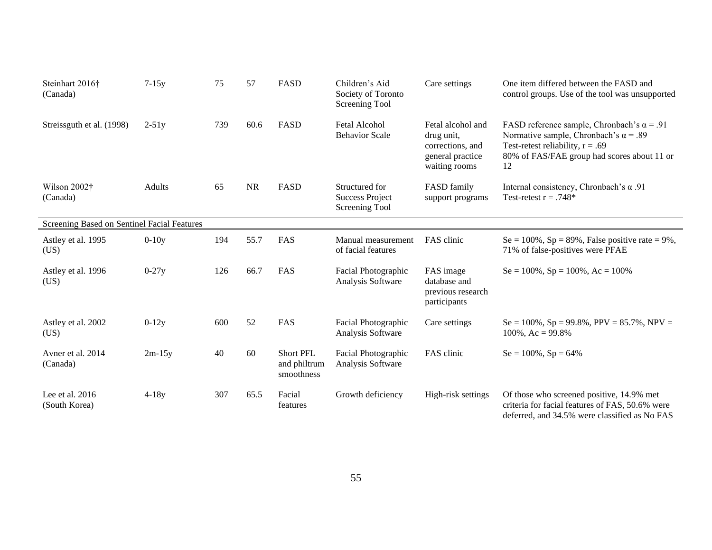| Steinhart 2016†<br>(Canada)                 | $7-15y$   | 75  | 57        | FASD                                           | Children's Aid<br>Society of Toronto<br>Screening Tool     | Care settings                                                                            | One item differed between the FASD and<br>control groups. Use of the tool was unsupported                                                                                                    |
|---------------------------------------------|-----------|-----|-----------|------------------------------------------------|------------------------------------------------------------|------------------------------------------------------------------------------------------|----------------------------------------------------------------------------------------------------------------------------------------------------------------------------------------------|
| Streissguth et al. (1998)                   | $2 - 51y$ | 739 | 60.6      | FASD                                           | <b>Fetal Alcohol</b><br><b>Behavior Scale</b>              | Fetal alcohol and<br>drug unit,<br>corrections, and<br>general practice<br>waiting rooms | FASD reference sample, Chronbach's $\alpha$ = .91<br>Normative sample, Chronbach's $\alpha$ = .89<br>Test-retest reliability, $r = .69$<br>80% of FAS/FAE group had scores about 11 or<br>12 |
| Wilson 2002†<br>(Canada)                    | Adults    | 65  | <b>NR</b> | FASD                                           | Structured for<br><b>Success Project</b><br>Screening Tool | FASD family<br>support programs                                                          | Internal consistency, Chronbach's $\alpha$ .91<br>Test-retest $r = .748*$                                                                                                                    |
| Screening Based on Sentinel Facial Features |           |     |           |                                                |                                                            |                                                                                          |                                                                                                                                                                                              |
| Astley et al. 1995<br>(US)                  | $0-10y$   | 194 | 55.7      | FAS                                            | Manual measurement<br>of facial features                   | FAS clinic                                                                               | Se = $100\%$ , Sp = 89%, False positive rate = 9%,<br>71% of false-positives were PFAE                                                                                                       |
| Astley et al. 1996<br>(US)                  | $0-27y$   | 126 | 66.7      | FAS                                            | Facial Photographic<br>Analysis Software                   | FAS image<br>database and<br>previous research<br>participants                           | $Se = 100\%$ , $Sp = 100\%$ , $Ac = 100\%$                                                                                                                                                   |
| Astley et al. 2002<br>(US)                  | $0-12y$   | 600 | 52        | FAS                                            | Facial Photographic<br>Analysis Software                   | Care settings                                                                            | $Se = 100\%$ , $Sp = 99.8\%$ , $PPV = 85.7\%$ , $NPV =$<br>$100\%$ , Ac = 99.8%                                                                                                              |
| Avner et al. 2014<br>(Canada)               | $2m-15y$  | 40  | 60        | <b>Short PFL</b><br>and philtrum<br>smoothness | Facial Photographic<br>Analysis Software                   | FAS clinic                                                                               | $Se = 100\%$ , $Sp = 64\%$                                                                                                                                                                   |
| Lee et al. $2016$<br>(South Korea)          | $4-18y$   | 307 | 65.5      | Facial<br>features                             | Growth deficiency                                          | High-risk settings                                                                       | Of those who screened positive, 14.9% met<br>criteria for facial features of FAS, 50.6% were<br>deferred, and 34.5% were classified as No FAS                                                |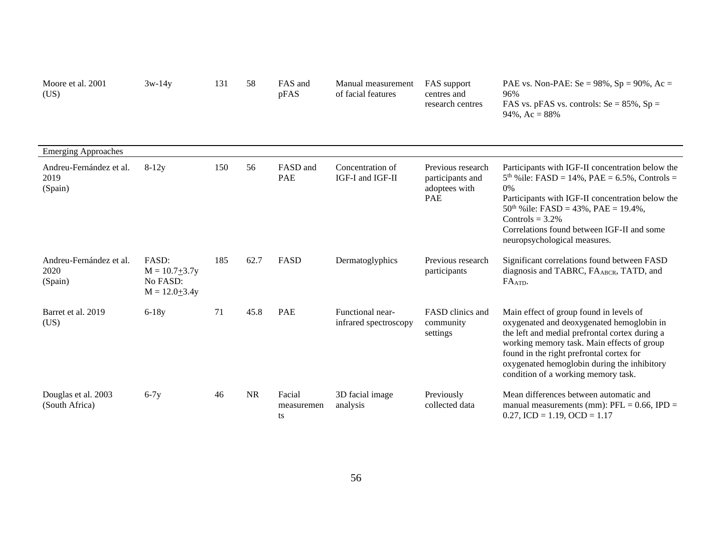| Moore et al. 2001<br>(US)                  | $3w-14y$                                                    | 131 | 58        | FAS and<br>pFAS            | Manual measurement<br>of facial features  | FAS support<br>centres and<br>research centres                       | PAE vs. Non-PAE: $Se = 98\%$ , $Sp = 90\%$ , $Ac =$<br>96%<br>FAS vs. pFAS vs. controls: $Se = 85\%$ , $Sp =$<br>$94\%,$ Ac = $88\%$                                                                                                                                                                                   |
|--------------------------------------------|-------------------------------------------------------------|-----|-----------|----------------------------|-------------------------------------------|----------------------------------------------------------------------|------------------------------------------------------------------------------------------------------------------------------------------------------------------------------------------------------------------------------------------------------------------------------------------------------------------------|
| <b>Emerging Approaches</b>                 |                                                             |     |           |                            |                                           |                                                                      |                                                                                                                                                                                                                                                                                                                        |
| Andreu-Fernández et al.<br>2019<br>(Spain) | $8-12y$                                                     | 150 | 56        | FASD and<br>PAE            | Concentration of<br>IGF-I and IGF-II      | Previous research<br>participants and<br>adoptees with<br><b>PAE</b> | Participants with IGF-II concentration below the<br>$5th$ % ile: FASD = 14%, PAE = 6.5%, Controls =<br>$0\%$<br>Participants with IGF-II concentration below the<br>$50th$ % ile: FASD = 43%, PAE = 19.4%,<br>Controls = $3.2\%$<br>Correlations found between IGF-II and some<br>neuropsychological measures.         |
| Andreu-Fernández et al.<br>2020<br>(Spain) | FASD:<br>$M = 10.7 + 3.7y$<br>No FASD:<br>$M = 12.0 + 3.4y$ | 185 | 62.7      | <b>FASD</b>                | Dermatoglyphics                           | Previous research<br>participants                                    | Significant correlations found between FASD<br>diagnosis and TABRC, FA <sub>ABCR</sub> , TATD, and<br>FA <sub>ATD</sub> .                                                                                                                                                                                              |
| Barret et al. 2019<br>(US)                 | $6-18y$                                                     | 71  | 45.8      | <b>PAE</b>                 | Functional near-<br>infrared spectroscopy | FASD clinics and<br>community<br>settings                            | Main effect of group found in levels of<br>oxygenated and deoxygenated hemoglobin in<br>the left and medial prefrontal cortex during a<br>working memory task. Main effects of group<br>found in the right prefrontal cortex for<br>oxygenated hemoglobin during the inhibitory<br>condition of a working memory task. |
| Douglas et al. 2003<br>(South Africa)      | $6-7y$                                                      | 46  | <b>NR</b> | Facial<br>measuremen<br>ts | 3D facial image<br>analysis               | Previously<br>collected data                                         | Mean differences between automatic and<br>manual measurements (mm): $PFL = 0.66$ , $IPD =$<br>$0.27$ , ICD = 1.19, OCD = 1.17                                                                                                                                                                                          |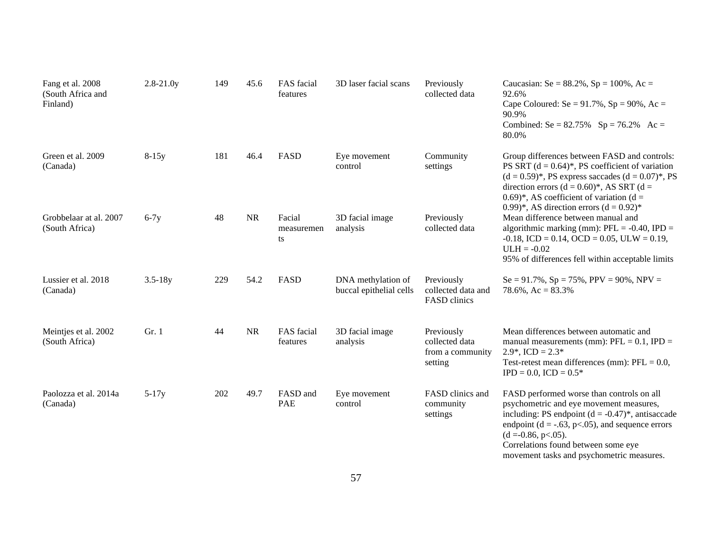| Fang et al. 2008<br>(South Africa and<br>Finland) | $2.8 - 21.0y$ | 149 | 45.6      | FAS facial<br>features     | 3D laser facial scans                         | Previously<br>collected data                                | Caucasian: Se = $88.2\%$ , Sp = $100\%$ , Ac =<br>92.6%<br>Cape Coloured: Se = $91.7\%$ , Sp = $90\%$ , Ac =<br>90.9%<br>Combined: Se = $82.75\%$ Sp = $76.2\%$ Ac =<br>80.0%                                                                                                                                       |
|---------------------------------------------------|---------------|-----|-----------|----------------------------|-----------------------------------------------|-------------------------------------------------------------|---------------------------------------------------------------------------------------------------------------------------------------------------------------------------------------------------------------------------------------------------------------------------------------------------------------------|
| Green et al. 2009<br>(Canada)                     | $8-15y$       | 181 | 46.4      | FASD                       | Eye movement<br>control                       | Community<br>settings                                       | Group differences between FASD and controls:<br>PS SRT $(d = 0.64)^*$ , PS coefficient of variation<br>$(d = 0.59)^*$ , PS express saccades $(d = 0.07)^*$ , PS<br>direction errors ( $d = 0.60$ )*, AS SRT ( $d =$<br>0.69)*, AS coefficient of variation ( $d =$<br>0.99)*, AS direction errors $(d = 0.92)$ *    |
| Grobbelaar at al. 2007<br>(South Africa)          | $6-7y$        | 48  | <b>NR</b> | Facial<br>measuremen<br>ts | 3D facial image<br>analysis                   | Previously<br>collected data                                | Mean difference between manual and<br>algorithmic marking (mm): $PFL = -0.40$ , IPD =<br>$-0.18$ , ICD = 0.14, OCD = 0.05, ULW = 0.19,<br>$ULH = -0.02$<br>95% of differences fell within acceptable limits                                                                                                         |
| Lussier et al. 2018<br>(Canada)                   | $3.5 - 18y$   | 229 | 54.2      | FASD                       | DNA methylation of<br>buccal epithelial cells | Previously<br>collected data and<br>FASD clinics            | $Se = 91.7\%, Sp = 75\%, PPV = 90\%, NPV =$<br>$78.6\%$ , Ac = $83.3\%$                                                                                                                                                                                                                                             |
| Meintjes et al. 2002<br>(South Africa)            | Gr. 1         | 44  | <b>NR</b> | FAS facial<br>features     | 3D facial image<br>analysis                   | Previously<br>collected data<br>from a community<br>setting | Mean differences between automatic and<br>manual measurements (mm): $PFL = 0.1$ , $IPD =$<br>$2.9^*$ , ICD = $2.3^*$<br>Test-retest mean differences (mm): $PFL = 0.0$ ,<br>$IPD = 0.0$ , $ICD = 0.5*$                                                                                                              |
| Paolozza et al. 2014a<br>(Canada)                 | $5-17y$       | 202 | 49.7      | FASD and<br><b>PAE</b>     | Eye movement<br>control                       | FASD clinics and<br>community<br>settings                   | FASD performed worse than controls on all<br>psychometric and eye movement measures,<br>including: PS endpoint $(d = -0.47)^*$ , antisaccade<br>endpoint ( $d = -.63$ , p<.05), and sequence errors<br>$(d = 0.86, p < 0.05)$ .<br>Correlations found between some eye<br>movement tasks and psychometric measures. |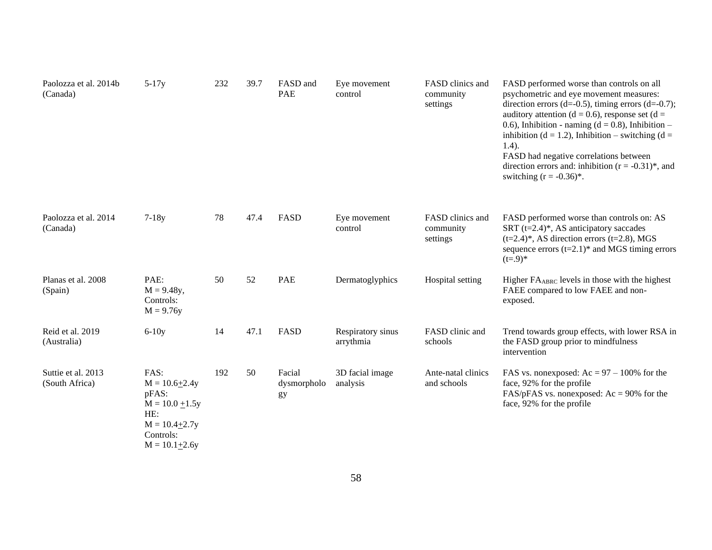| Paolozza et al. 2014b<br>(Canada)    | $5-17y$                                                                                                                 | 232 | 39.7 | FASD and<br>PAE             | Eye movement<br>control        | FASD clinics and<br>community<br>settings | FASD performed worse than controls on all<br>psychometric and eye movement measures:<br>direction errors (d=-0.5), timing errors (d=-0.7);<br>auditory attention ( $d = 0.6$ ), response set ( $d =$<br>0.6), Inhibition - naming $(d = 0.8)$ , Inhibition -<br>inhibition ( $d = 1.2$ ), Inhibition – switching ( $d =$<br>$1.4$ ).<br>FASD had negative correlations between<br>direction errors and: inhibition $(r = -0.31)^*$ , and<br>switching $(r = -0.36)^*$ . |
|--------------------------------------|-------------------------------------------------------------------------------------------------------------------------|-----|------|-----------------------------|--------------------------------|-------------------------------------------|-------------------------------------------------------------------------------------------------------------------------------------------------------------------------------------------------------------------------------------------------------------------------------------------------------------------------------------------------------------------------------------------------------------------------------------------------------------------------|
| Paolozza et al. 2014<br>(Canada)     | $7-18y$                                                                                                                 | 78  | 47.4 | FASD                        | Eye movement<br>control        | FASD clinics and<br>community<br>settings | FASD performed worse than controls on: AS<br>SRT $(t=2.4)$ <sup>*</sup> , AS anticipatory saccades<br>$(t=2.4)$ <sup>*</sup> , AS direction errors (t=2.8), MGS<br>sequence errors $(t=2.1)^*$ and MGS timing errors<br>$(t=.9)*$                                                                                                                                                                                                                                       |
| Planas et al. 2008<br>(Spain)        | PAE:<br>$M = 9.48y,$<br>Controls:<br>$M = 9.76y$                                                                        | 50  | 52   | <b>PAE</b>                  | Dermatoglyphics                | Hospital setting                          | Higher FA <sub>ABRC</sub> levels in those with the highest<br>FAEE compared to low FAEE and non-<br>exposed.                                                                                                                                                                                                                                                                                                                                                            |
| Reid et al. 2019<br>(Australia)      | $6-10y$                                                                                                                 | 14  | 47.1 | FASD                        | Respiratory sinus<br>arrythmia | FASD clinic and<br>schools                | Trend towards group effects, with lower RSA in<br>the FASD group prior to mindfulness<br>intervention                                                                                                                                                                                                                                                                                                                                                                   |
| Suttie et al. 2013<br>(South Africa) | FAS:<br>$M = 10.6 + 2.4y$<br>pFAS:<br>$M = 10.0 \pm 1.5y$<br>HE:<br>$M = 10.4 + 2.7y$<br>Controls:<br>$M = 10.1 + 2.6y$ | 192 | 50   | Facial<br>dysmorpholo<br>gy | 3D facial image<br>analysis    | Ante-natal clinics<br>and schools         | FAS vs. nonexposed: $Ac = 97 - 100\%$ for the<br>face, 92% for the profile<br>FAS/pFAS vs. nonexposed: $Ac = 90\%$ for the<br>face, 92% for the profile                                                                                                                                                                                                                                                                                                                 |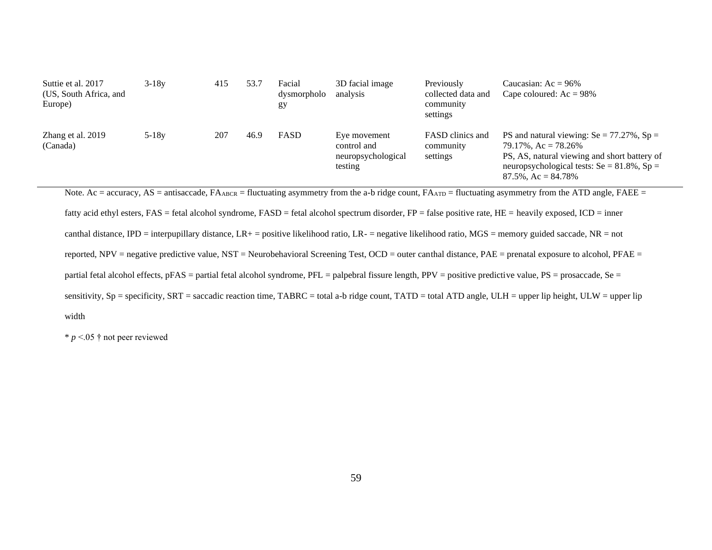| Suttie et al. 2017<br>(US, South Africa, and<br>Europe) | $3 - 18v$ | 415 | 53.7 | Facial<br>dysmorpholo<br>gy | 3D facial image<br>analysis                                  | Previously<br>collected data and<br>community<br>settings | Caucasian: $Ac = 96\%$<br>Cape coloured: $Ac = 98\%$                                                                                                                                                           |
|---------------------------------------------------------|-----------|-----|------|-----------------------------|--------------------------------------------------------------|-----------------------------------------------------------|----------------------------------------------------------------------------------------------------------------------------------------------------------------------------------------------------------------|
| Zhang et al. 2019<br>(Canada)                           | $5 - 18y$ | 207 | 46.9 | FASD                        | Eye movement<br>control and<br>neuropsychological<br>testing | FASD clinics and<br>community<br>settings                 | PS and natural viewing: $Se = 77.27\%$ , $Sp =$<br>$79.17\%$ , Ac = $78.26\%$<br>PS, AS, natural viewing and short battery of<br>neuropsychological tests: $Se = 81.8\%$ , $Sp =$<br>$87.5\%$ , Ac = $84.78\%$ |

Note. Ac = accuracy, AS = antisaccade,  $FA_{ABCR}$  = fluctuating asymmetry from the a-b ridge count,  $FA_{ATD}$  = fluctuating asymmetry from the ATD angle,  $FAEE$  = fatty acid ethyl esters, FAS = fetal alcohol syndrome, FASD = fetal alcohol spectrum disorder, FP = false positive rate, HE = heavily exposed, ICD = inner canthal distance, IPD = interpupillary distance, LR+ = positive likelihood ratio, LR- = negative likelihood ratio, MGS = memory guided saccade, NR = not reported, NPV = negative predictive value, NST = Neurobehavioral Screening Test, OCD = outer canthal distance, PAE = prenatal exposure to alcohol, PFAE = partial fetal alcohol effects, pFAS = partial fetal alcohol syndrome, PFL = palpebral fissure length, PPV = positive predictive value, PS = prosaccade, Se = sensitivity,  $Sp = \text{specificity}$ ,  $SRT = \text{saccadic reaction time}$ ,  $TABRC = \text{total a-b ridge count}$ ,  $TATD = \text{total} ATD$  angle,  $ULH = \text{upper lip height}$ ,  $ULW = \text{upper lip}$ width

 $* p < 05$  † not peer reviewed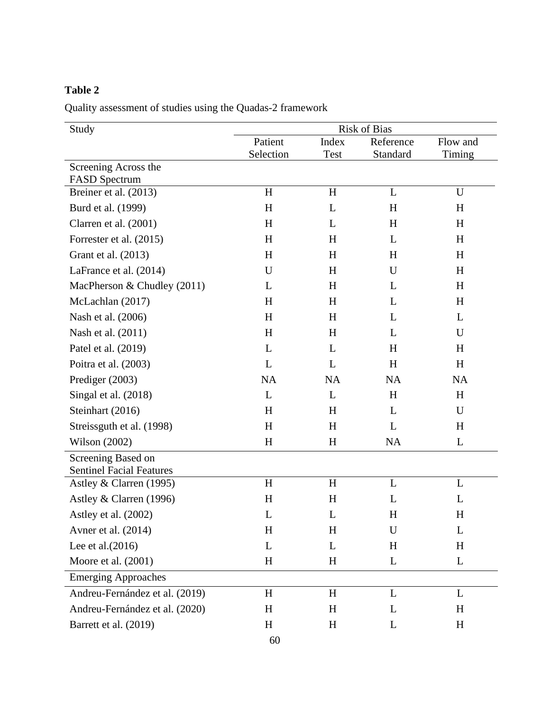### <span id="page-66-0"></span>**Table 2**

Quality assessment of studies using the Quadas-2 framework

| Study                                                 | <b>Risk of Bias</b> |           |           |             |  |  |  |
|-------------------------------------------------------|---------------------|-----------|-----------|-------------|--|--|--|
|                                                       | Patient             | Index     | Reference | Flow and    |  |  |  |
|                                                       | Selection           | Test      | Standard  | Timing      |  |  |  |
| Screening Across the<br><b>FASD</b> Spectrum          |                     |           |           |             |  |  |  |
| Breiner et al. (2013)                                 | H                   | H         | L         | U           |  |  |  |
| Burd et al. (1999)                                    | H                   | L         | H         | H           |  |  |  |
| Clarren et al. (2001)                                 | H                   | L         | H         | H           |  |  |  |
| Forrester et al. (2015)                               | H                   | H         | L         | H           |  |  |  |
| Grant et al. (2013)                                   | H                   | H         | H         | H           |  |  |  |
| LaFrance et al. (2014)                                | $\mathbf U$         | H         | U         | H           |  |  |  |
| MacPherson & Chudley (2011)                           | L                   | H         | L         | H           |  |  |  |
| McLachlan (2017)                                      | H                   | H         | L         | H           |  |  |  |
| Nash et al. (2006)                                    | H                   | H         | L         | L           |  |  |  |
| Nash et al. (2011)                                    | H                   | H         | L         | U           |  |  |  |
| Patel et al. (2019)                                   | L                   | L         | H         | H           |  |  |  |
| Poitra et al. (2003)                                  | L                   | L         | H         | H           |  |  |  |
| Prediger (2003)                                       | NA                  | NA        | <b>NA</b> | <b>NA</b>   |  |  |  |
| Singal et al. (2018)                                  | L                   | L         | H         | H           |  |  |  |
| Steinhart (2016)                                      | H                   | H         | L         | U           |  |  |  |
| Streissguth et al. (1998)                             | H                   | H         | L         | H           |  |  |  |
| Wilson (2002)                                         | H                   | H         | <b>NA</b> | L           |  |  |  |
| Screening Based on<br><b>Sentinel Facial Features</b> |                     |           |           |             |  |  |  |
| Astley & Clarren (1995)                               | H                   | H         | L         | L           |  |  |  |
| Astley & Clarren (1996)                               | H                   | H         | L         | L           |  |  |  |
| Astley et al. (2002)                                  | L                   | L         | $H_{\rm}$ | H           |  |  |  |
| Avner et al. (2014)                                   | H                   | H         | U         | L           |  |  |  |
| Lee et al. $(2016)$                                   | L                   | L         | H         | H           |  |  |  |
| Moore et al. (2001)                                   | H                   | $H_{\rm}$ | L         | $\mathbf L$ |  |  |  |
| <b>Emerging Approaches</b>                            |                     |           |           |             |  |  |  |
| Andreu-Fernández et al. (2019)                        | H                   | H         | L         | L           |  |  |  |
| Andreu-Fernández et al. (2020)                        | H                   | $H_{\rm}$ | L         | H           |  |  |  |
| Barrett et al. (2019)                                 | H                   | $H_{\rm}$ | L         | $H_{\rm}$   |  |  |  |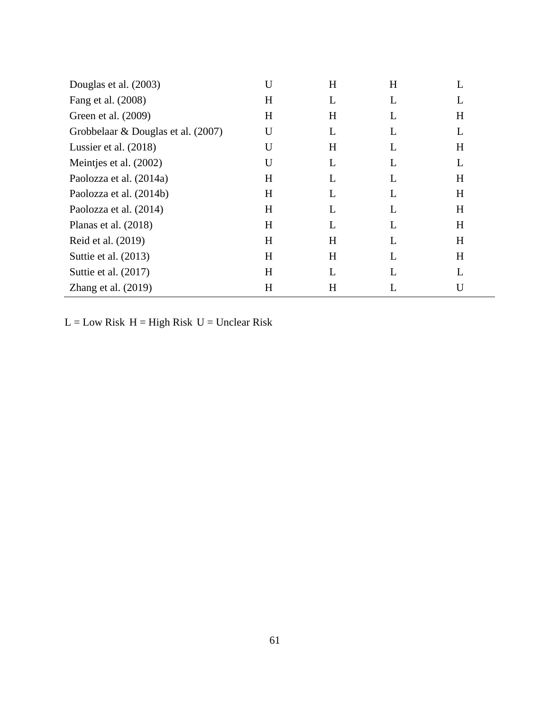| Douglas et al. (2003)              | U         | H | H |   |
|------------------------------------|-----------|---|---|---|
| Fang et al. (2008)                 | $H_{\rm}$ | L | L | L |
| Green et al. (2009)                | $H_{\rm}$ | H | L | H |
| Grobbelaar & Douglas et al. (2007) | U         | L | L | L |
| Lussier et al. $(2018)$            | U         | H | L | H |
| Meintjes et al. (2002)             | U         | L | L | L |
| Paolozza et al. (2014a)            | $H_{\rm}$ | L | L | H |
| Paolozza et al. (2014b)            | H         | L | L | H |
| Paolozza et al. (2014)             | $H_{\rm}$ | L | L | H |
| Planas et al. $(2018)$             | H         | L | L | H |
| Reid et al. (2019)                 | H         | H | L | H |
| Suttie et al. (2013)               | $H_{\rm}$ | H | L | H |
| Suttie et al. $(2017)$             | $H_{\rm}$ | L |   |   |
| Zhang et al. $(2019)$              | H         | H |   | U |

 $L = Low\ Risk\ H = High\ Risk\ U = Unclear\ Risk$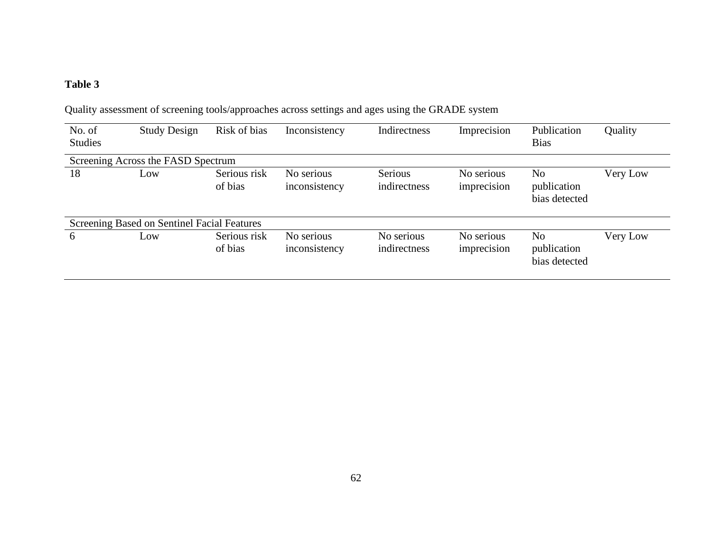# **Table 3**

<span id="page-68-0"></span>

| No. of                                      | <b>Study Design</b> | Risk of bias            | Inconsistency               | Indirectness               | Imprecision               | Publication                                    | Quality  |  |  |  |
|---------------------------------------------|---------------------|-------------------------|-----------------------------|----------------------------|---------------------------|------------------------------------------------|----------|--|--|--|
| <b>Studies</b>                              |                     |                         |                             |                            |                           | <b>Bias</b>                                    |          |  |  |  |
| Screening Across the FASD Spectrum          |                     |                         |                             |                            |                           |                                                |          |  |  |  |
| 18                                          | Low                 | Serious risk<br>of bias | No serious<br>inconsistency | Serious<br>indirectness    | No serious<br>imprecision | N <sub>o</sub><br>publication<br>bias detected | Very Low |  |  |  |
| Screening Based on Sentinel Facial Features |                     |                         |                             |                            |                           |                                                |          |  |  |  |
| 6                                           | Low                 | Serious risk<br>of bias | No serious<br>inconsistency | No serious<br>indirectness | No serious<br>imprecision | No<br>publication<br>bias detected             | Very Low |  |  |  |

Quality assessment of screening tools/approaches across settings and ages using the GRADE system